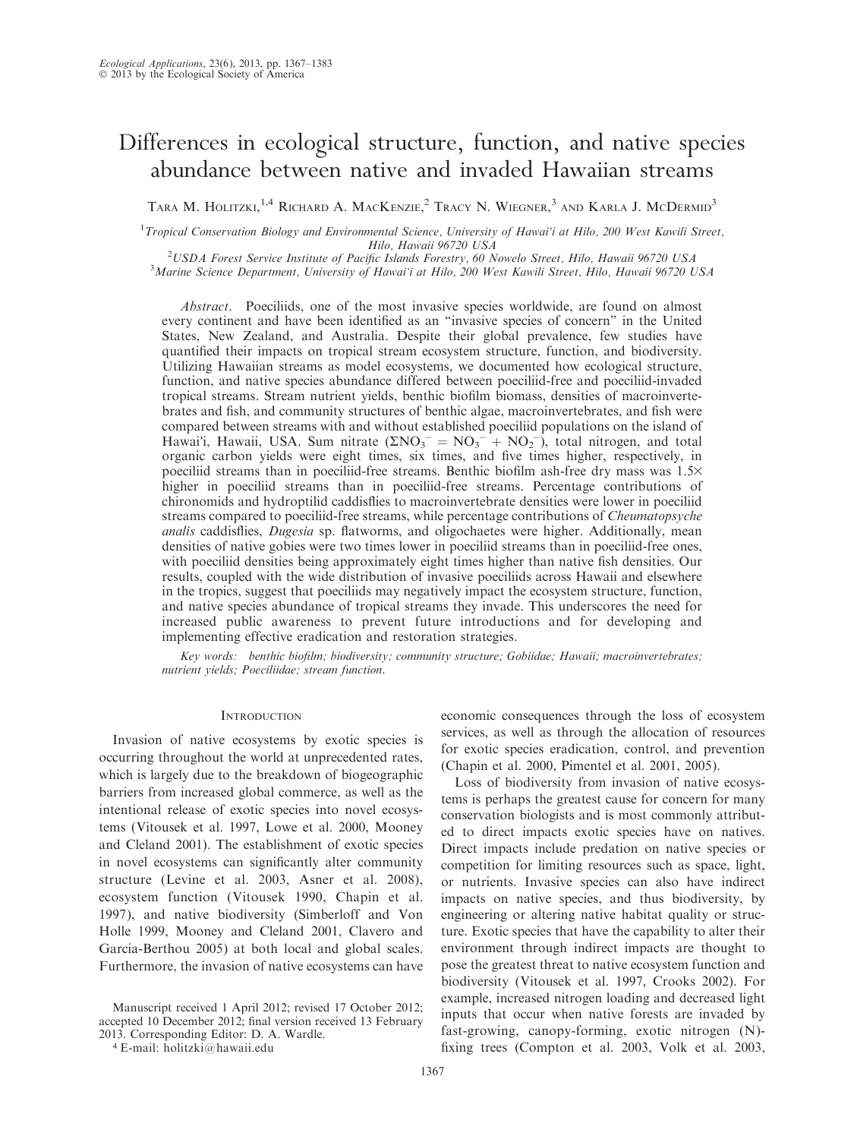# Differences in ecological structure, function, and native species abundance between native and invaded Hawaiian streams

TARA M. HOLITZKI,<sup>1,4</sup> Richard A. MacKenzie,<sup>2</sup> Tracy N. Wiegner,<sup>3</sup> and Karla J. McDermid<sup>3</sup>

<sup>1</sup>Tropical Conservation Biology and Environmental Science, University of Hawai'i at Hilo, 200 West Kawili Street, Hilo, Hawaii 96720 USA<br><sup>2</sup>USD 4 Forest Service Institute of Pacific Islands Forestry, 60 N

 $^{2}$ USDA Forest Service Institute of Pacific Islands Forestry, 60 Nowelo Street, Hilo, Hawaii 96720 USA  $^{3}$ Marine Seienee Denartment, University of Hawaii at Hilo, 200 West Kawili Street, Hilo, Hawaii 06720 I <sup>3</sup>Marine Science Department, University of Hawai'i at Hilo, 200 West Kawili Street, Hilo, Hawaii 96720 USA

Abstract. Poeciliids, one of the most invasive species worldwide, are found on almost every continent and have been identified as an ''invasive species of concern'' in the United States, New Zealand, and Australia. Despite their global prevalence, few studies have quantified their impacts on tropical stream ecosystem structure, function, and biodiversity. Utilizing Hawaiian streams as model ecosystems, we documented how ecological structure, function, and native species abundance differed between poeciliid-free and poeciliid-invaded tropical streams. Stream nutrient yields, benthic biofilm biomass, densities of macroinvertebrates and fish, and community structures of benthic algae, macroinvertebrates, and fish were compared between streams with and without established poeciliid populations on the island of Hawai'i, Hawaii, USA. Sum nitrate  $(2NO_3^- = NO_3^- + NO_2^-)$ , total nitrogen, and total organic carbon yields were eight times, six times, and five times higher, respectively, in poeciliid streams than in poeciliid-free streams. Benthic biofilm ash-free dry mass was 1.5× higher in poeciliid streams than in poeciliid-free streams. Percentage contributions of chironomids and hydroptilid caddisflies to macroinvertebrate densities were lower in poeciliid streams compared to poeciliid-free streams, while percentage contributions of *Cheumatopsyche* analis caddisflies, Dugesia sp. flatworms, and oligochaetes were higher. Additionally, mean densities of native gobies were two times lower in poeciliid streams than in poeciliid-free ones, with poeciliid densities being approximately eight times higher than native fish densities. Our results, coupled with the wide distribution of invasive poeciliids across Hawaii and elsewhere in the tropics, suggest that poeciliids may negatively impact the ecosystem structure, function, and native species abundance of tropical streams they invade. This underscores the need for increased public awareness to prevent future introductions and for developing and implementing effective eradication and restoration strategies.

Key words: benthic biofilm; biodiversity; community structure; Gobiidae; Hawaii; macroinvertebrates; nutrient yields; Poeciliidae; stream function.

## **INTRODUCTION**

Invasion of native ecosystems by exotic species is occurring throughout the world at unprecedented rates, which is largely due to the breakdown of biogeographic barriers from increased global commerce, as well as the intentional release of exotic species into novel ecosystems (Vitousek et al. 1997, Lowe et al. 2000, Mooney and Cleland 2001). The establishment of exotic species in novel ecosystems can significantly alter community structure (Levine et al. 2003, Asner et al. 2008), ecosystem function (Vitousek 1990, Chapin et al. 1997), and native biodiversity (Simberloff and Von Holle 1999, Mooney and Cleland 2001, Clavero and Garcia-Berthou 2005) at both local and global scales. Furthermore, the invasion of native ecosystems can have

Manuscript received 1 April 2012; revised 17 October 2012; accepted 10 December 2012; final version received 13 February 2013. Corresponding Editor: D. A. Wardle.

<sup>4</sup> E-mail: holitzki@hawaii.edu

economic consequences through the loss of ecosystem services, as well as through the allocation of resources for exotic species eradication, control, and prevention (Chapin et al. 2000, Pimentel et al. 2001, 2005).

Loss of biodiversity from invasion of native ecosystems is perhaps the greatest cause for concern for many conservation biologists and is most commonly attributed to direct impacts exotic species have on natives. Direct impacts include predation on native species or competition for limiting resources such as space, light, or nutrients. Invasive species can also have indirect impacts on native species, and thus biodiversity, by engineering or altering native habitat quality or structure. Exotic species that have the capability to alter their environment through indirect impacts are thought to pose the greatest threat to native ecosystem function and biodiversity (Vitousek et al. 1997, Crooks 2002). For example, increased nitrogen loading and decreased light inputs that occur when native forests are invaded by fast-growing, canopy-forming, exotic nitrogen (N) fixing trees (Compton et al. 2003, Volk et al. 2003,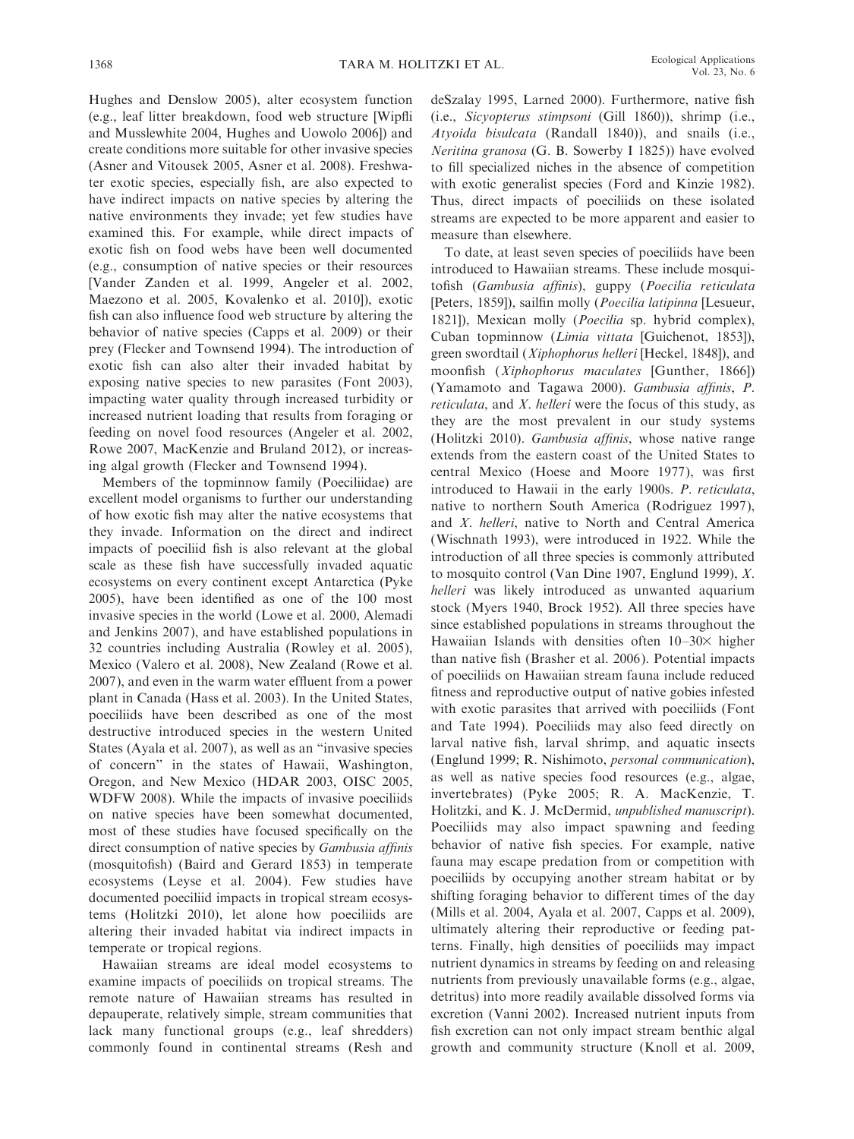Hughes and Denslow 2005), alter ecosystem function (e.g., leaf litter breakdown, food web structure [Wipfli and Musslewhite 2004, Hughes and Uowolo 2006]) and create conditions more suitable for other invasive species (Asner and Vitousek 2005, Asner et al. 2008). Freshwater exotic species, especially fish, are also expected to have indirect impacts on native species by altering the native environments they invade; yet few studies have examined this. For example, while direct impacts of exotic fish on food webs have been well documented (e.g., consumption of native species or their resources [Vander Zanden et al. 1999, Angeler et al. 2002, Maezono et al. 2005, Kovalenko et al. 2010]), exotic fish can also influence food web structure by altering the behavior of native species (Capps et al. 2009) or their prey (Flecker and Townsend 1994). The introduction of exotic fish can also alter their invaded habitat by exposing native species to new parasites (Font 2003), impacting water quality through increased turbidity or increased nutrient loading that results from foraging or feeding on novel food resources (Angeler et al. 2002, Rowe 2007, MacKenzie and Bruland 2012), or increasing algal growth (Flecker and Townsend 1994).

Members of the topminnow family (Poeciliidae) are excellent model organisms to further our understanding of how exotic fish may alter the native ecosystems that they invade. Information on the direct and indirect impacts of poeciliid fish is also relevant at the global scale as these fish have successfully invaded aquatic ecosystems on every continent except Antarctica (Pyke 2005), have been identified as one of the 100 most invasive species in the world (Lowe et al. 2000, Alemadi and Jenkins 2007), and have established populations in 32 countries including Australia (Rowley et al. 2005), Mexico (Valero et al. 2008), New Zealand (Rowe et al. 2007), and even in the warm water effluent from a power plant in Canada (Hass et al. 2003). In the United States, poeciliids have been described as one of the most destructive introduced species in the western United States (Ayala et al. 2007), as well as an ''invasive species of concern'' in the states of Hawaii, Washington, Oregon, and New Mexico (HDAR 2003, OISC 2005, WDFW 2008). While the impacts of invasive poeciliids on native species have been somewhat documented, most of these studies have focused specifically on the direct consumption of native species by Gambusia affinis (mosquitofish) (Baird and Gerard 1853) in temperate ecosystems (Leyse et al. 2004). Few studies have documented poeciliid impacts in tropical stream ecosystems (Holitzki 2010), let alone how poeciliids are altering their invaded habitat via indirect impacts in temperate or tropical regions.

Hawaiian streams are ideal model ecosystems to examine impacts of poeciliids on tropical streams. The remote nature of Hawaiian streams has resulted in depauperate, relatively simple, stream communities that lack many functional groups (e.g., leaf shredders) commonly found in continental streams (Resh and deSzalay 1995, Larned 2000). Furthermore, native fish (i.e., Sicyopterus stimpsoni (Gill 1860)), shrimp (i.e., Atyoida bisulcata (Randall 1840)), and snails (i.e., Neritina granosa (G. B. Sowerby I 1825)) have evolved to fill specialized niches in the absence of competition with exotic generalist species (Ford and Kinzie 1982). Thus, direct impacts of poeciliids on these isolated streams are expected to be more apparent and easier to measure than elsewhere.

To date, at least seven species of poeciliids have been introduced to Hawaiian streams. These include mosquitofish (Gambusia affinis), guppy (Poecilia reticulata [Peters, 1859]), sailfin molly (*Poecilia latipinna* [Lesueur, 1821]), Mexican molly (Poecilia sp. hybrid complex), Cuban topminnow (Limia vittata [Guichenot, 1853]), green swordtail (Xiphophorus helleri [Heckel, 1848]), and moonfish (Xiphophorus maculates [Gunther, 1866]) (Yamamoto and Tagawa 2000). Gambusia affinis, P. reticulata, and X. helleri were the focus of this study, as they are the most prevalent in our study systems (Holitzki 2010). Gambusia affinis, whose native range extends from the eastern coast of the United States to central Mexico (Hoese and Moore 1977), was first introduced to Hawaii in the early 1900s. P. reticulata, native to northern South America (Rodriguez 1997), and X. helleri, native to North and Central America (Wischnath 1993), were introduced in 1922. While the introduction of all three species is commonly attributed to mosquito control (Van Dine 1907, Englund 1999), X. helleri was likely introduced as unwanted aquarium stock (Myers 1940, Brock 1952). All three species have since established populations in streams throughout the Hawaiian Islands with densities often  $10-30\times$  higher than native fish (Brasher et al. 2006). Potential impacts of poeciliids on Hawaiian stream fauna include reduced fitness and reproductive output of native gobies infested with exotic parasites that arrived with poeciliids (Font and Tate 1994). Poeciliids may also feed directly on larval native fish, larval shrimp, and aquatic insects (Englund 1999; R. Nishimoto, personal communication), as well as native species food resources (e.g., algae, invertebrates) (Pyke 2005; R. A. MacKenzie, T. Holitzki, and K. J. McDermid, unpublished manuscript). Poeciliids may also impact spawning and feeding behavior of native fish species. For example, native fauna may escape predation from or competition with poeciliids by occupying another stream habitat or by shifting foraging behavior to different times of the day (Mills et al. 2004, Ayala et al. 2007, Capps et al. 2009), ultimately altering their reproductive or feeding patterns. Finally, high densities of poeciliids may impact nutrient dynamics in streams by feeding on and releasing nutrients from previously unavailable forms (e.g., algae, detritus) into more readily available dissolved forms via excretion (Vanni 2002). Increased nutrient inputs from fish excretion can not only impact stream benthic algal growth and community structure (Knoll et al. 2009,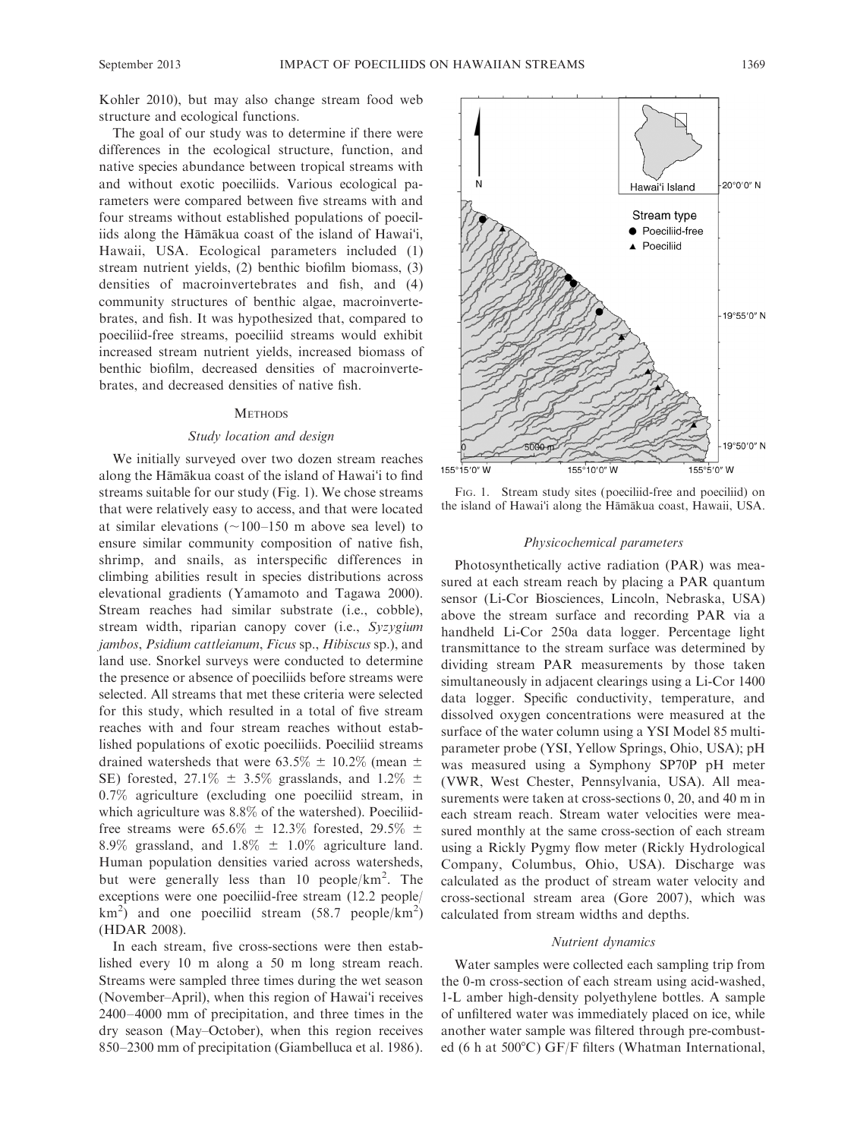Kohler 2010), but may also change stream food web structure and ecological functions.

The goal of our study was to determine if there were differences in the ecological structure, function, and native species abundance between tropical streams with and without exotic poeciliids. Various ecological parameters were compared between five streams with and four streams without established populations of poeciliids along the Hāmākua coast of the island of Hawai'i, Hawaii, USA. Ecological parameters included (1) stream nutrient yields, (2) benthic biofilm biomass, (3) densities of macroinvertebrates and fish, and (4) community structures of benthic algae, macroinvertebrates, and fish. It was hypothesized that, compared to poeciliid-free streams, poeciliid streams would exhibit increased stream nutrient yields, increased biomass of benthic biofilm, decreased densities of macroinvertebrates, and decreased densities of native fish.

# **METHODS**

## Study location and design

We initially surveyed over two dozen stream reaches along the Hāmākua coast of the island of Hawai'i to find streams suitable for our study (Fig. 1). We chose streams that were relatively easy to access, and that were located at similar elevations  $(\sim 100-150$  m above sea level) to ensure similar community composition of native fish, shrimp, and snails, as interspecific differences in climbing abilities result in species distributions across elevational gradients (Yamamoto and Tagawa 2000). Stream reaches had similar substrate (i.e., cobble), stream width, riparian canopy cover (i.e., Syzygium jambos, Psidium cattleianum, Ficus sp., Hibiscus sp.), and land use. Snorkel surveys were conducted to determine the presence or absence of poeciliids before streams were selected. All streams that met these criteria were selected for this study, which resulted in a total of five stream reaches with and four stream reaches without established populations of exotic poeciliids. Poeciliid streams drained watersheds that were 63.5%  $\pm$  10.2% (mean  $\pm$ SE) forested,  $27.1\% \pm 3.5\%$  grasslands, and  $1.2\% \pm$ 0.7% agriculture (excluding one poeciliid stream, in which agriculture was  $8.8\%$  of the watershed). Poeciliidfree streams were 65.6%  $\pm$  12.3% forested, 29.5%  $\pm$ 8.9% grassland, and  $1.8\% \pm 1.0\%$  agriculture land. Human population densities varied across watersheds, but were generally less than 10 people/km<sup>2</sup>. The exceptions were one poeciliid-free stream (12.2 people/  $\text{km}^2$ ) and one poeciliid stream (58.7 people/km<sup>2</sup>) (HDAR 2008).

In each stream, five cross-sections were then established every 10 m along a 50 m long stream reach. Streams were sampled three times during the wet season (November–April), when this region of Hawai'i receives 2400–4000 mm of precipitation, and three times in the dry season (May–October), when this region receives 850–2300 mm of precipitation (Giambelluca et al. 1986).



FIG. 1. Stream study sites (poeciliid-free and poeciliid) on the island of Hawai'i along the Hamakua coast, Hawaii, USA.

# Physicochemical parameters

Photosynthetically active radiation (PAR) was measured at each stream reach by placing a PAR quantum sensor (Li-Cor Biosciences, Lincoln, Nebraska, USA) above the stream surface and recording PAR via a handheld Li-Cor 250a data logger. Percentage light transmittance to the stream surface was determined by dividing stream PAR measurements by those taken simultaneously in adjacent clearings using a Li-Cor 1400 data logger. Specific conductivity, temperature, and dissolved oxygen concentrations were measured at the surface of the water column using a YSI Model 85 multiparameter probe (YSI, Yellow Springs, Ohio, USA); pH was measured using a Symphony SP70P pH meter (VWR, West Chester, Pennsylvania, USA). All measurements were taken at cross-sections 0, 20, and 40 m in each stream reach. Stream water velocities were measured monthly at the same cross-section of each stream using a Rickly Pygmy flow meter (Rickly Hydrological Company, Columbus, Ohio, USA). Discharge was calculated as the product of stream water velocity and cross-sectional stream area (Gore 2007), which was calculated from stream widths and depths.

# Nutrient dynamics

Water samples were collected each sampling trip from the 0-m cross-section of each stream using acid-washed, 1-L amber high-density polyethylene bottles. A sample of unfiltered water was immediately placed on ice, while another water sample was filtered through pre-combusted (6 h at 500 $^{\circ}$ C) GF/F filters (Whatman International,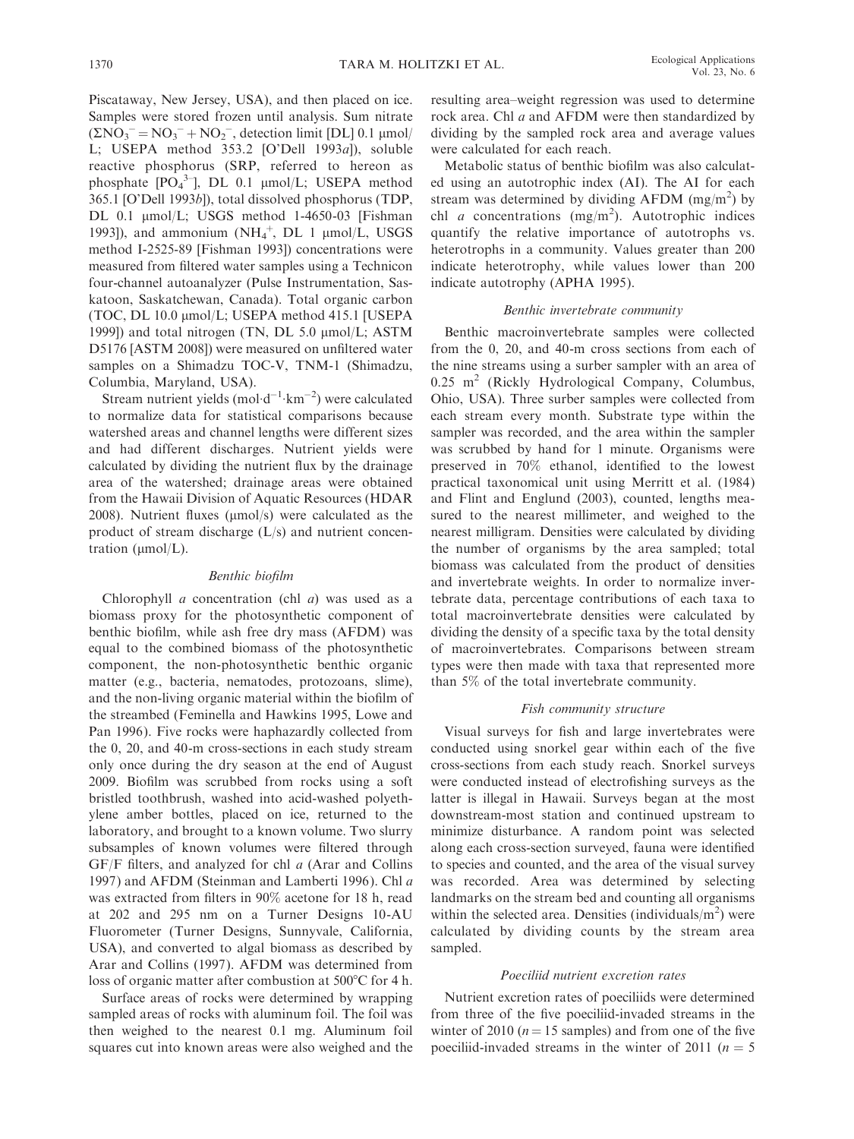Piscataway, New Jersey, USA), and then placed on ice. Samples were stored frozen until analysis. Sum nitrate  $(\Sigma NO_3^- = NO_3^- + NO_2^-$ , detection limit [DL] 0.1 µmol/ L; USEPA method 353.2 [O'Dell 1993a]), soluble reactive phosphorus (SRP, referred to hereon as phosphate  $[PO_4^3$ ], DL 0.1  $\mu$ mol/L; USEPA method 365.1 [O'Dell 1993b]), total dissolved phosphorus (TDP, DL 0.1  $\mu$ mol/L; USGS method 1-4650-03 [Fishman] 1993]), and ammonium  $(NH_4^+$ , DL 1  $\mu$ mol/L, USGS method I-2525-89 [Fishman 1993]) concentrations were measured from filtered water samples using a Technicon four-channel autoanalyzer (Pulse Instrumentation, Saskatoon, Saskatchewan, Canada). Total organic carbon (TOC, DL 10.0 lmol/L; USEPA method 415.1 [USEPA 1999]) and total nitrogen (TN, DL 5.0 µmol/L; ASTM D5176 [ASTM 2008]) were measured on unfiltered water samples on a Shimadzu TOC-V, TNM-1 (Shimadzu, Columbia, Maryland, USA).

Stream nutrient yields  $(mol·d^{-1}·km^{-2})$  were calculated to normalize data for statistical comparisons because watershed areas and channel lengths were different sizes and had different discharges. Nutrient yields were calculated by dividing the nutrient flux by the drainage area of the watershed; drainage areas were obtained from the Hawaii Division of Aquatic Resources (HDAR 2008). Nutrient fluxes ( $\mu$ mol/s) were calculated as the product of stream discharge  $(L/s)$  and nutrient concentration ( $\mu$ mol/L).

# Benthic biofilm

Chlorophyll  $a$  concentration (chl  $a$ ) was used as a biomass proxy for the photosynthetic component of benthic biofilm, while ash free dry mass (AFDM) was equal to the combined biomass of the photosynthetic component, the non-photosynthetic benthic organic matter (e.g., bacteria, nematodes, protozoans, slime), and the non-living organic material within the biofilm of the streambed (Feminella and Hawkins 1995, Lowe and Pan 1996). Five rocks were haphazardly collected from the 0, 20, and 40-m cross-sections in each study stream only once during the dry season at the end of August 2009. Biofilm was scrubbed from rocks using a soft bristled toothbrush, washed into acid-washed polyethylene amber bottles, placed on ice, returned to the laboratory, and brought to a known volume. Two slurry subsamples of known volumes were filtered through  $GF/F$  filters, and analyzed for chl  $a$  (Arar and Collins 1997) and AFDM (Steinman and Lamberti 1996). Chl a was extracted from filters in 90% acetone for 18 h, read at 202 and 295 nm on a Turner Designs 10-AU Fluorometer (Turner Designs, Sunnyvale, California, USA), and converted to algal biomass as described by Arar and Collins (1997). AFDM was determined from loss of organic matter after combustion at 500°C for 4 h.

Surface areas of rocks were determined by wrapping sampled areas of rocks with aluminum foil. The foil was then weighed to the nearest 0.1 mg. Aluminum foil squares cut into known areas were also weighed and the

resulting area–weight regression was used to determine rock area. Chl  $a$  and AFDM were then standardized by dividing by the sampled rock area and average values were calculated for each reach.

Metabolic status of benthic biofilm was also calculated using an autotrophic index (AI). The AI for each stream was determined by dividing AFDM  $(mg/m<sup>2</sup>)$  by chl a concentrations (mg/m<sup>2</sup>). Autotrophic indices quantify the relative importance of autotrophs vs. heterotrophs in a community. Values greater than 200 indicate heterotrophy, while values lower than 200 indicate autotrophy (APHA 1995).

# Benthic invertebrate community

Benthic macroinvertebrate samples were collected from the 0, 20, and 40-m cross sections from each of the nine streams using a surber sampler with an area of  $0.25$  m<sup>2</sup> (Rickly Hydrological Company, Columbus, Ohio, USA). Three surber samples were collected from each stream every month. Substrate type within the sampler was recorded, and the area within the sampler was scrubbed by hand for 1 minute. Organisms were preserved in 70% ethanol, identified to the lowest practical taxonomical unit using Merritt et al. (1984) and Flint and Englund (2003), counted, lengths measured to the nearest millimeter, and weighed to the nearest milligram. Densities were calculated by dividing the number of organisms by the area sampled; total biomass was calculated from the product of densities and invertebrate weights. In order to normalize invertebrate data, percentage contributions of each taxa to total macroinvertebrate densities were calculated by dividing the density of a specific taxa by the total density of macroinvertebrates. Comparisons between stream types were then made with taxa that represented more than 5% of the total invertebrate community.

# Fish community structure

Visual surveys for fish and large invertebrates were conducted using snorkel gear within each of the five cross-sections from each study reach. Snorkel surveys were conducted instead of electrofishing surveys as the latter is illegal in Hawaii. Surveys began at the most downstream-most station and continued upstream to minimize disturbance. A random point was selected along each cross-section surveyed, fauna were identified to species and counted, and the area of the visual survey was recorded. Area was determined by selecting landmarks on the stream bed and counting all organisms within the selected area. Densities (individuals/ $m<sup>2</sup>$ ) were calculated by dividing counts by the stream area sampled.

## Poeciliid nutrient excretion rates

Nutrient excretion rates of poeciliids were determined from three of the five poeciliid-invaded streams in the winter of 2010 ( $n = 15$  samples) and from one of the five poeciliid-invaded streams in the winter of 2011 ( $n = 5$ )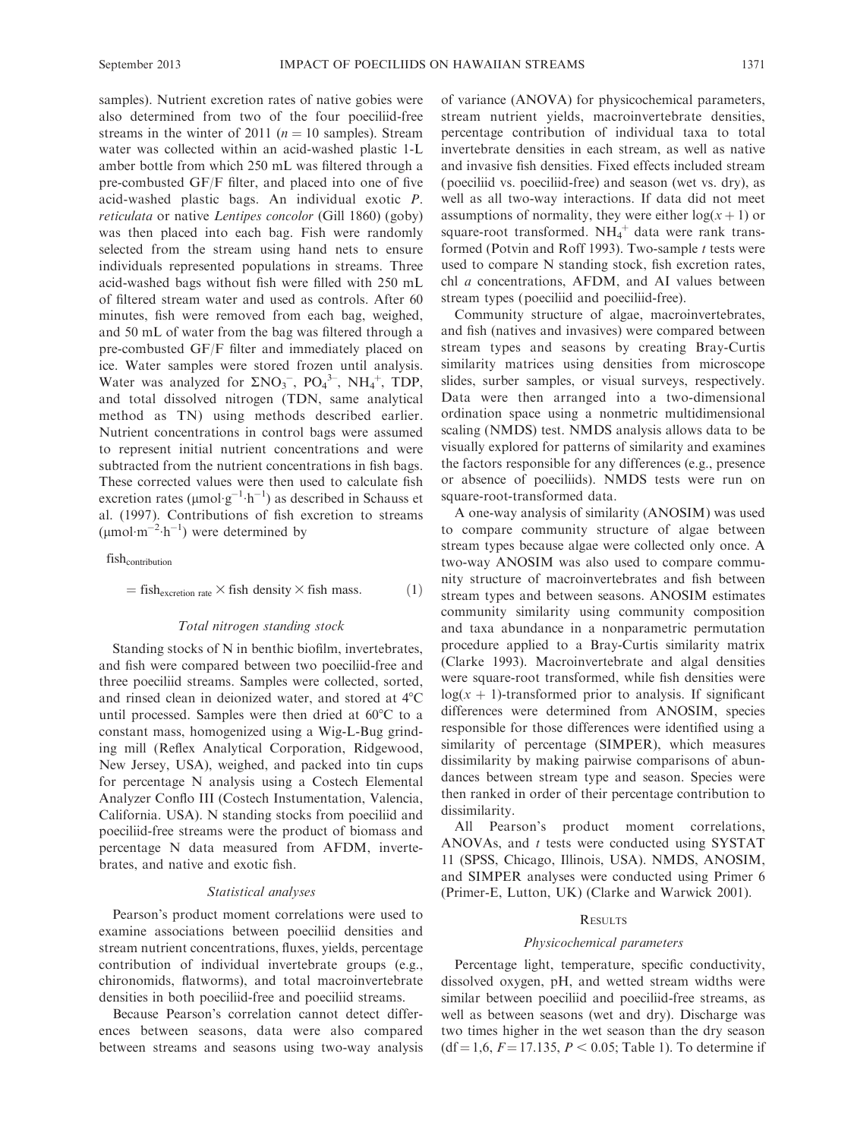samples). Nutrient excretion rates of native gobies were also determined from two of the four poeciliid-free streams in the winter of 2011 ( $n = 10$  samples). Stream water was collected within an acid-washed plastic 1-L amber bottle from which 250 mL was filtered through a pre-combusted GF/F filter, and placed into one of five acid-washed plastic bags. An individual exotic P. reticulata or native Lentipes concolor (Gill 1860) (goby) was then placed into each bag. Fish were randomly selected from the stream using hand nets to ensure individuals represented populations in streams. Three acid-washed bags without fish were filled with 250 mL of filtered stream water and used as controls. After 60 minutes, fish were removed from each bag, weighed, and 50 mL of water from the bag was filtered through a pre-combusted GF/F filter and immediately placed on ice. Water samples were stored frozen until analysis. Water was analyzed for  $\Sigma NO_3^-$ ,  $PO_4^{3-}$ , NH<sub>4</sub><sup>+</sup>, TDP, and total dissolved nitrogen (TDN, same analytical method as TN) using methods described earlier. Nutrient concentrations in control bags were assumed to represent initial nutrient concentrations and were subtracted from the nutrient concentrations in fish bags. These corrected values were then used to calculate fish excretion rates ( $\mu$ mol·g<sup>-1</sup>·h<sup>-1</sup>) as described in Schauss et al. (1997). Contributions of fish excretion to streams  $(\mu$ mol·m<sup>-2</sup>·h<sup>-1</sup>) were determined by

fish<sub>contribution</sub>

 $=$  fish<sub>excretion rate</sub>  $\times$  fish density  $\times$  fish mass.  $(1)$ 

### Total nitrogen standing stock

Standing stocks of N in benthic biofilm, invertebrates, and fish were compared between two poeciliid-free and three poeciliid streams. Samples were collected, sorted, and rinsed clean in deionized water, and stored at  $4^{\circ}$ C until processed. Samples were then dried at  $60^{\circ}$ C to a constant mass, homogenized using a Wig-L-Bug grinding mill (Reflex Analytical Corporation, Ridgewood, New Jersey, USA), weighed, and packed into tin cups for percentage N analysis using a Costech Elemental Analyzer Conflo III (Costech Instumentation, Valencia, California. USA). N standing stocks from poeciliid and poeciliid-free streams were the product of biomass and percentage N data measured from AFDM, invertebrates, and native and exotic fish.

# Statistical analyses

Pearson's product moment correlations were used to examine associations between poeciliid densities and stream nutrient concentrations, fluxes, yields, percentage contribution of individual invertebrate groups (e.g., chironomids, flatworms), and total macroinvertebrate densities in both poeciliid-free and poeciliid streams.

Because Pearson's correlation cannot detect differences between seasons, data were also compared between streams and seasons using two-way analysis of variance (ANOVA) for physicochemical parameters, stream nutrient yields, macroinvertebrate densities, percentage contribution of individual taxa to total invertebrate densities in each stream, as well as native and invasive fish densities. Fixed effects included stream (poeciliid vs. poeciliid-free) and season (wet vs. dry), as well as all two-way interactions. If data did not meet assumptions of normality, they were either  $log(x + 1)$  or square-root transformed.  $NH_4^+$  data were rank transformed (Potvin and Roff 1993). Two-sample  $t$  tests were used to compare N standing stock, fish excretion rates, chl a concentrations, AFDM, and AI values between stream types (poeciliid and poeciliid-free).

Community structure of algae, macroinvertebrates, and fish (natives and invasives) were compared between stream types and seasons by creating Bray-Curtis similarity matrices using densities from microscope slides, surber samples, or visual surveys, respectively. Data were then arranged into a two-dimensional ordination space using a nonmetric multidimensional scaling (NMDS) test. NMDS analysis allows data to be visually explored for patterns of similarity and examines the factors responsible for any differences (e.g., presence or absence of poeciliids). NMDS tests were run on square-root-transformed data.

A one-way analysis of similarity (ANOSIM) was used to compare community structure of algae between stream types because algae were collected only once. A two-way ANOSIM was also used to compare community structure of macroinvertebrates and fish between stream types and between seasons. ANOSIM estimates community similarity using community composition and taxa abundance in a nonparametric permutation procedure applied to a Bray-Curtis similarity matrix (Clarke 1993). Macroinvertebrate and algal densities were square-root transformed, while fish densities were  $log(x + 1)$ -transformed prior to analysis. If significant differences were determined from ANOSIM, species responsible for those differences were identified using a similarity of percentage (SIMPER), which measures dissimilarity by making pairwise comparisons of abundances between stream type and season. Species were then ranked in order of their percentage contribution to dissimilarity.

All Pearson's product moment correlations, ANOVAs, and  $t$  tests were conducted using SYSTAT 11 (SPSS, Chicago, Illinois, USA). NMDS, ANOSIM, and SIMPER analyses were conducted using Primer 6 (Primer-E, Lutton, UK) (Clarke and Warwick 2001).

# RESULTS

# Physicochemical parameters

Percentage light, temperature, specific conductivity, dissolved oxygen, pH, and wetted stream widths were similar between poeciliid and poeciliid-free streams, as well as between seasons (wet and dry). Discharge was two times higher in the wet season than the dry season  $(df=1,6, F=17.135, P < 0.05;$  Table 1). To determine if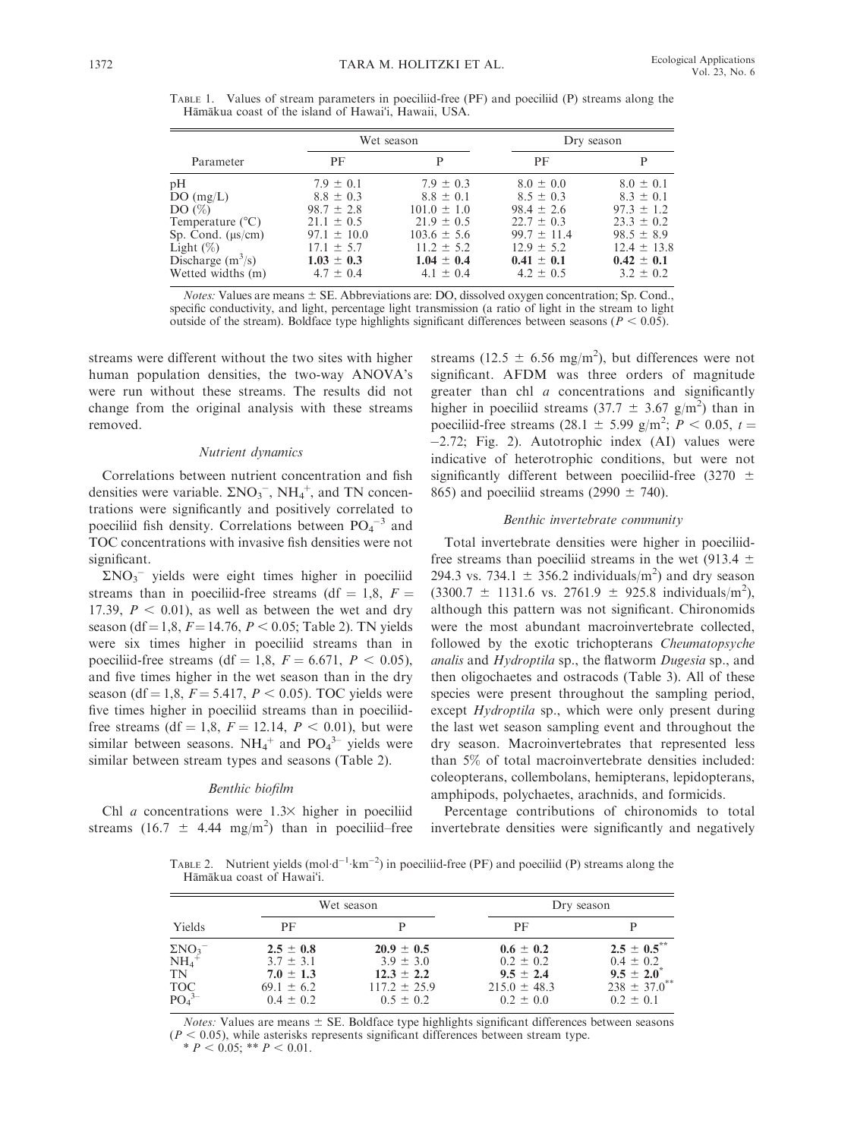TABLE 1. Values of stream parameters in poeciliid-free (PF) and poeciliid (P) streams along the Hāmākua coast of the island of Hawai'i, Hawaii, USA.

|                           | Wet season      |                 | Dry season      |                 |
|---------------------------|-----------------|-----------------|-----------------|-----------------|
| Parameter                 | PF              | Р               | PF              |                 |
| pH                        | $7.9 \pm 0.1$   | $7.9 \pm 0.3$   | $8.0 \pm 0.0$   | $8.0 \pm 0.1$   |
| DO (mg/L)                 | $8.8 \pm 0.3$   | $8.8 \pm 0.1$   | $8.5 \pm 0.3$   | $8.3 \pm 0.1$   |
| DO(%)                     | $98.7 \pm 2.8$  | $101.0 \pm 1.0$ | $98.4 \pm 2.6$  | $97.3 \pm 1.2$  |
| Temperature $(^{\circ}C)$ | $21.1 \pm 0.5$  | $21.9 \pm 0.5$  | $22.7 \pm 0.3$  | $23.3 \pm 0.2$  |
| Sp. Cond. $(\mu s/cm)$    | $97.1 \pm 10.0$ | $103.6 \pm 5.6$ | $99.7 \pm 11.4$ | $98.5 \pm 8.9$  |
| Light $(\%)$              | $17.1 \pm 5.7$  | $11.2 \pm 5.2$  | $12.9 \pm 5.2$  | $12.4 \pm 13.8$ |
| Discharge $(m^3/s)$       | $1.03 \pm 0.3$  | $1.04 \pm 0.4$  | $0.41 \pm 0.1$  | $0.42 \pm 0.1$  |
| Wetted widths (m)         | $4.7 \pm 0.4$   | $4.1 \pm 0.4$   | $4.2 \pm 0.5$   | $3.2 \pm 0.2$   |

*Notes:* Values are means  $\pm$  SE. Abbreviations are: DO, dissolved oxygen concentration; Sp. Cond., specific conductivity, and light, percentage light transmission (a ratio of light in the stream to light outside of the stream). Boldface type highlights significant differences between seasons ( $P < 0.05$ ).

streams were different without the two sites with higher human population densities, the two-way ANOVA's were run without these streams. The results did not change from the original analysis with these streams removed.

# Nutrient dynamics

Correlations between nutrient concentration and fish densities were variable.  $\Sigma NO_3^-$ ,  $NH_4^+$ , and TN concentrations were significantly and positively correlated to poeciliid fish density. Correlations between  $PO_4^{-3}$  and TOC concentrations with invasive fish densities were not significant.

 $\Sigma NO_3^-$  yields were eight times higher in poeciliid streams than in poeciliid-free streams (df = 1,8,  $F =$ 17.39,  $P < 0.01$ ), as well as between the wet and dry season (df = 1,8,  $F = 14.76$ ,  $P < 0.05$ ; Table 2). TN yields were six times higher in poeciliid streams than in poeciliid-free streams (df = 1,8,  $F = 6.671, P < 0.05$ ), and five times higher in the wet season than in the dry season (df = 1,8,  $F = 5.417$ ,  $P < 0.05$ ). TOC yields were five times higher in poeciliid streams than in poeciliidfree streams (df = 1,8,  $F = 12.14, P < 0.01$ ), but were similar between seasons.  $NH_4^+$  and  $PO_4^{3-}$  yields were similar between stream types and seasons (Table 2).

#### Benthic biofilm

Chl  $a$  concentrations were  $1.3\times$  higher in poeciliid streams  $(16.7 \pm 4.44 \text{ mg/m}^2)$  than in poeciliid–free

streams (12.5  $\pm$  6.56 mg/m<sup>2</sup>), but differences were not significant. AFDM was three orders of magnitude greater than chl a concentrations and significantly higher in poeciliid streams (37.7  $\pm$  3.67 g/m<sup>2</sup>) than in poeciliid-free streams (28.1  $\pm$  5.99 g/m<sup>2</sup>;  $P < 0.05$ ,  $t =$ -2.72; Fig. 2). Autotrophic index (AI) values were indicative of heterotrophic conditions, but were not significantly different between poeciliid-free (3270  $\pm$ 865) and poeciliid streams (2990  $\pm$  740).

# Benthic invertebrate community

Total invertebrate densities were higher in poeciliidfree streams than poeciliid streams in the wet (913.4  $\pm$ 294.3 vs. 734.1  $\pm$  356.2 individuals/m<sup>2</sup>) and dry season  $(3300.7 \pm 1131.6 \text{ vs. } 2761.9 \pm 925.8 \text{ individuals/m}^2)$ , although this pattern was not significant. Chironomids were the most abundant macroinvertebrate collected, followed by the exotic trichopterans Cheumatopsyche analis and Hydroptila sp., the flatworm Dugesia sp., and then oligochaetes and ostracods (Table 3). All of these species were present throughout the sampling period, except Hydroptila sp., which were only present during the last wet season sampling event and throughout the dry season. Macroinvertebrates that represented less than 5% of total macroinvertebrate densities included: coleopterans, collembolans, hemipterans, lepidopterans, amphipods, polychaetes, arachnids, and formicids.

Percentage contributions of chironomids to total invertebrate densities were significantly and negatively

TABLE 2. Nutrient yields  $(mol \cdot d^{-1} \cdot km^{-2})$  in poeciliid-free (PF) and poeciliid (P) streams along the Hāmākua coast of Hawai'i.

|                                                                                       |                                                                                    | Wet season                                                                             | Dry season                                                                           |                                                                                                     |
|---------------------------------------------------------------------------------------|------------------------------------------------------------------------------------|----------------------------------------------------------------------------------------|--------------------------------------------------------------------------------------|-----------------------------------------------------------------------------------------------------|
| Yields                                                                                | PF                                                                                 |                                                                                        | PF                                                                                   |                                                                                                     |
| $\Sigma NO_3^-$<br>$NH_4$ <sup>+</sup><br>TN.<br><b>TOC</b><br>$\overline{PO_4}^{3-}$ | $2.5 \pm 0.8$<br>$3.7 \pm 3.1$<br>$7.0 \pm 1.3$<br>$69.1 \pm 6.2$<br>$0.4 \pm 0.2$ | $20.9 \pm 0.5$<br>$3.9 \pm 3.0$<br>$12.3 \pm 2.2$<br>$117.2 \pm 25.9$<br>$0.5 \pm 0.2$ | $0.6 \pm 0.2$<br>$0.2 \pm 0.2$<br>$9.5 \pm 2.4$<br>$215.0 \pm 48.3$<br>$0.2 \pm 0.0$ | $2.5 \pm 0.5$ **<br>$0.4 \pm 0.2$<br>$9.5 \pm 2.0$<br>$238 \pm 37.0$ <sup>**</sup><br>$0.2 \pm 0.1$ |

*Notes:* Values are means  $\pm$  SE. Boldface type highlights significant differences between seasons  $(P < 0.05)$ , while asterisks represents significant differences between stream type. \*  $P < 0.05$ ; \*\*  $P < 0.01$ .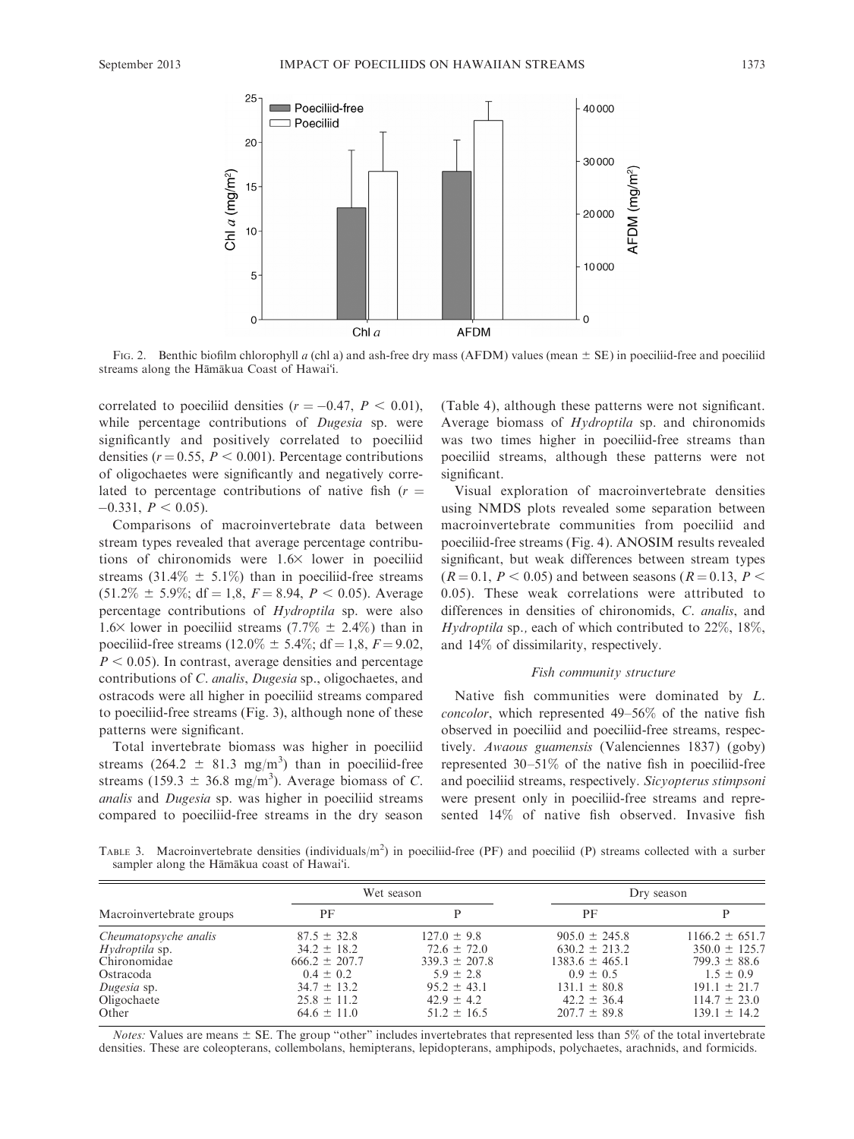

FIG. 2. Benthic biofilm chlorophyll a (chl a) and ash-free dry mass (AFDM) values (mean  $\pm$  SE) in poeciliid-free and poeciliid streams along the Hāmākua Coast of Hawai'i.

correlated to poeciliid densities ( $r = -0.47$ ,  $P < 0.01$ ), while percentage contributions of Dugesia sp. were significantly and positively correlated to poeciliid densities ( $r = 0.55$ ,  $P < 0.001$ ). Percentage contributions of oligochaetes were significantly and negatively correlated to percentage contributions of native fish  $(r =$  $-0.331, P < 0.05$ ).

Comparisons of macroinvertebrate data between stream types revealed that average percentage contributions of chironomids were  $1.6 \times$  lower in poeciliid streams (31.4\%  $\pm$  5.1\%) than in poeciliid-free streams  $(51.2\% \pm 5.9\%; df = 1,8, F = 8.94, P < 0.05)$ . Average percentage contributions of Hydroptila sp. were also 1.6 $\times$  lower in poeciliid streams (7.7\%  $\pm$  2.4\%) than in poeciliid-free streams (12.0%  $\pm$  5.4%; df = 1,8, F = 9.02,  $P < 0.05$ ). In contrast, average densities and percentage contributions of C. analis, Dugesia sp., oligochaetes, and ostracods were all higher in poeciliid streams compared to poeciliid-free streams (Fig. 3), although none of these patterns were significant.

Total invertebrate biomass was higher in poeciliid streams  $(264.2 \pm 81.3 \text{ mg/m}^3)$  than in poeciliid-free streams (159.3  $\pm$  36.8 mg/m<sup>3</sup>). Average biomass of C. analis and Dugesia sp. was higher in poeciliid streams compared to poeciliid-free streams in the dry season

(Table 4), although these patterns were not significant. Average biomass of Hydroptila sp. and chironomids was two times higher in poeciliid-free streams than poeciliid streams, although these patterns were not significant.

Visual exploration of macroinvertebrate densities using NMDS plots revealed some separation between macroinvertebrate communities from poeciliid and poeciliid-free streams (Fig. 4). ANOSIM results revealed significant, but weak differences between stream types  $(R = 0.1, P < 0.05)$  and between seasons  $(R = 0.13, P <$ 0.05). These weak correlations were attributed to differences in densities of chironomids, C. analis, and Hydroptila sp., each of which contributed to 22%, 18%, and 14% of dissimilarity, respectively.

# Fish community structure

Native fish communities were dominated by L. concolor, which represented 49–56% of the native fish observed in poeciliid and poeciliid-free streams, respectively. Awaous guamensis (Valenciennes 1837) (goby) represented 30–51% of the native fish in poeciliid-free and poeciliid streams, respectively. Sicyopterus stimpsoni were present only in poeciliid-free streams and represented 14% of native fish observed. Invasive fish

TABLE 3. Macroinvertebrate densities (individuals/ $m<sup>2</sup>$ ) in poeciliid-free (PF) and poeciliid (P) streams collected with a surber sampler along the Hāmākua coast of Hawai'i.

|                          | Wet season        |                   | Dry season         |                    |
|--------------------------|-------------------|-------------------|--------------------|--------------------|
| Macroinvertebrate groups | PF                |                   | PF                 |                    |
| Cheumatopsyche analis    | $87.5 \pm 32.8$   | $127.0 \pm 9.8$   | $905.0 \pm 245.8$  | $1166.2 \pm 651.7$ |
| Hydroptila sp.           | $34.2 \pm 18.2$   | $72.6 \pm 72.0$   | $630.2 \pm 213.2$  | $350.0 \pm 125.7$  |
| Chironomidae             | $666.2 \pm 207.7$ | $339.3 \pm 207.8$ | $1383.6 \pm 465.1$ | $799.3 \pm 88.6$   |
| Ostracoda                | $0.4 \pm 0.2$     | $5.9 \pm 2.8$     | $0.9 \pm 0.5$      | $1.5 \pm 0.9$      |
| Dugesia sp.              | $34.7 \pm 13.2$   | $95.2 \pm 43.1$   | $131.1 \pm 80.8$   | $191.1 \pm 21.7$   |
| Oligochaete              | $25.8 \pm 11.2$   | $42.9 \pm 4.2$    | $42.2 \pm 36.4$    | $114.7 \pm 23.0$   |
| Other                    | $64.6 \pm 11.0$   | $51.2 \pm 16.5$   | $207.7 \pm 89.8$   | $139.1 \pm 14.2$   |

*Notes:* Values are means  $\pm$  SE. The group "other" includes invertebrates that represented less than 5% of the total invertebrate densities. These are coleopterans, collembolans, hemipterans, lepidopterans, amphipods, polychaetes, arachnids, and formicids.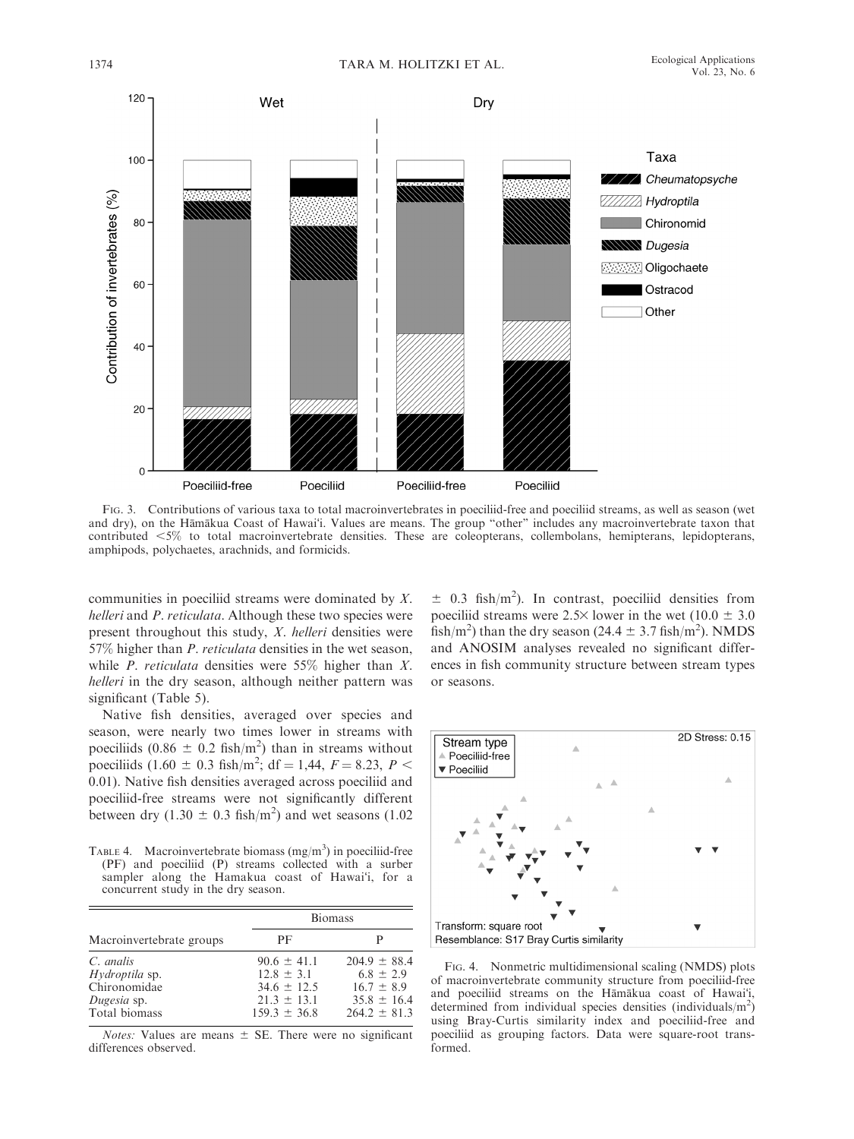

FIG. 3. Contributions of various taxa to total macroinvertebrates in poeciliid-free and poeciliid streams, as well as season (wet and dry), on the Hāmākua Coast of Hawai'i. Values are means. The group "other" includes any macroinvertebrate taxon that contributed <5% to total macroinvertebrate densities. These are coleopterans, collembolans, hemipterans, lepidopterans, amphipods, polychaetes, arachnids, and formicids.

communities in poeciliid streams were dominated by X. helleri and P. reticulata. Although these two species were present throughout this study, X. helleri densities were 57% higher than P. reticulata densities in the wet season, while *P. reticulata* densities were 55% higher than *X*. helleri in the dry season, although neither pattern was significant (Table 5).

Native fish densities, averaged over species and season, were nearly two times lower in streams with poeciliids  $(0.86 \pm 0.2 \text{ fish/m}^2)$  than in streams without poeciliids  $(1.60 \pm 0.3 \text{ fish/m}^2; df = 1.44, F = 8.23, P <$ 0.01). Native fish densities averaged across poeciliid and poeciliid-free streams were not significantly different between dry (1.30  $\pm$  0.3 fish/m<sup>2</sup>) and wet seasons (1.02

TABLE 4. Macroinvertebrate biomass  $(mg/m<sup>3</sup>)$  in poeciliid-free (PF) and poeciliid (P) streams collected with a surber sampler along the Hamakua coast of Hawai'i, for a concurrent study in the dry season.

|                                                                             | <b>Biomass</b>                                                                              |                                                                                            |
|-----------------------------------------------------------------------------|---------------------------------------------------------------------------------------------|--------------------------------------------------------------------------------------------|
| Macroinvertebrate groups                                                    | PF                                                                                          |                                                                                            |
| C. analis<br>Hydroptila sp.<br>Chironomidae<br>Dugesia sp.<br>Total biomass | $90.6 \pm 41.1$<br>$12.8 \pm 3.1$<br>$34.6 \pm 12.5$<br>$21.3 \pm 13.1$<br>$159.3 \pm 36.8$ | $204.9 \pm 88.4$<br>$6.8 \pm 2.9$<br>$16.7 \pm 8.9$<br>$35.8 \pm 16.4$<br>$264.2 \pm 81.3$ |

*Notes:* Values are means  $\pm$  SE. There were no significant differences observed.

 $\pm$  0.3 fish/m<sup>2</sup>). In contrast, poeciliid densities from poeciliid streams were  $2.5 \times$  lower in the wet (10.0  $\pm$  3.0 fish/m<sup>2</sup>) than the dry season (24.4  $\pm$  3.7 fish/m<sup>2</sup>). NMDS and ANOSIM analyses revealed no significant differences in fish community structure between stream types or seasons.



FIG. 4. Nonmetric multidimensional scaling (NMDS) plots of macroinvertebrate community structure from poeciliid-free and poeciliid streams on the Hāmākua coast of Hawai'i, determined from individual species densities (individuals/ $m<sup>2</sup>$ ) using Bray-Curtis similarity index and poeciliid-free and poeciliid as grouping factors. Data were square-root transformed.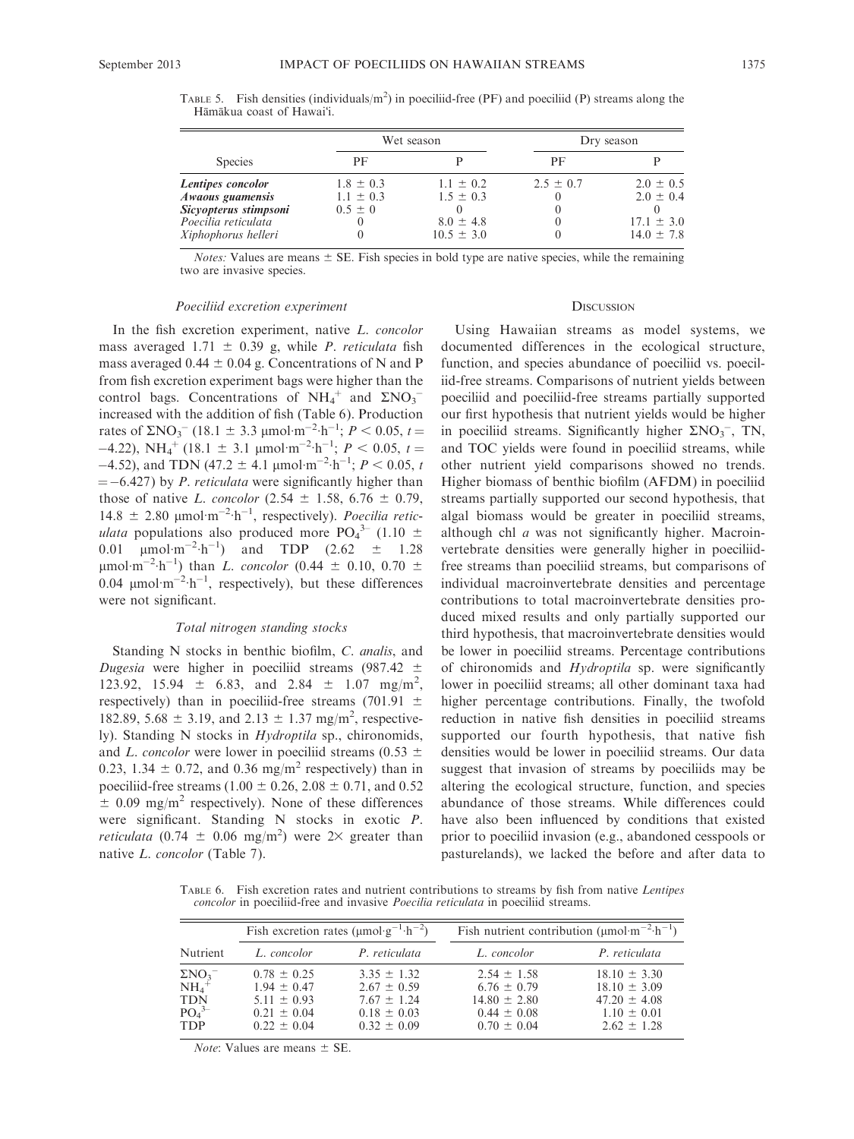TABLE 5. Fish densities (individuals/ $m<sup>2</sup>$ ) in poeciliid-free (PF) and poeciliid (P) streams along the Hāmākua coast of Hawai'i.

|                       | Wet season    |                | Dry season    |                |
|-----------------------|---------------|----------------|---------------|----------------|
| <b>Species</b>        | РF            |                | PF            |                |
| Lentipes concolor     | $1.8 \pm 0.3$ | $1.1 \pm 0.2$  | $2.5 \pm 0.7$ | $2.0 \pm 0.5$  |
| Awaous guamensis      | $1.1 \pm 0.3$ | $1.5 \pm 0.3$  |               | $2.0 \pm 0.4$  |
| Sicyopterus stimpsoni | $0.5 \pm 0$   |                |               |                |
| Poecilia reticulata   |               | $8.0 \pm 4.8$  |               | $17.1 \pm 3.0$ |
| Xiphophorus helleri   |               | $10.5 \pm 3.0$ |               | $14.0 \pm 7.8$ |

*Notes:* Values are means  $\pm$  SE. Fish species in bold type are native species, while the remaining two are invasive species.

#### Poeciliid excretion experiment

In the fish excretion experiment, native L. concolor mass averaged 1.71  $\pm$  0.39 g, while *P. reticulata* fish mass averaged  $0.44 \pm 0.04$  g. Concentrations of N and P from fish excretion experiment bags were higher than the control bags. Concentrations of  $NH_4^+$  and  $\Sigma NO_3^$ increased with the addition of fish (Table 6). Production rates of  $\Sigma NO_3^-$  (18.1  $\pm$  3.3 µmol·m<sup>-2</sup>·h<sup>-1</sup>;  $P < 0.05$ ,  $t =$  $-4.22$ ), NH<sub>4</sub><sup>+</sup> (18.1  $\pm$  3.1 µmol·m<sup>-2</sup>·h<sup>-1</sup>;  $P < 0.05$ ,  $t =$  $-4.52$ ), and TDN (47.2  $\pm$  4.1 µmol·m<sup>-2</sup>·h<sup>-1</sup>;  $P < 0.05$ , t  $=$  -6.427) by *P. reticulata* were significantly higher than those of native L. concolor  $(2.54 \pm 1.58, 6.76 \pm 0.79,$ 14.8  $\pm$  2.80 µmol·m<sup>-2</sup>·h<sup>-1</sup>, respectively). Poecilia retic*ulata* populations also produced more  $PO_4^{3-}$  (1.10  $\pm$ 0.01  $\mu$ mol·m<sup>-2</sup>·h<sup>-1</sup>) and TDP (2.62  $\pm$  1.28  $\mu$ mol·m<sup>-2</sup>·h<sup>-1</sup>) than *L. concolor* (0.44  $\pm$  0.10, 0.70  $\pm$ 0.04  $\mu$ mol·m<sup>-2</sup>·h<sup>-1</sup>, respectively), but these differences were not significant.

# Total nitrogen standing stocks

Standing N stocks in benthic biofilm, C. analis, and Dugesia were higher in poeciliid streams (987.42  $\pm$ 123.92, 15.94  $\pm$  6.83, and 2.84  $\pm$  1.07 mg/m<sup>2</sup>, respectively) than in poeciliid-free streams (701.91  $\pm$ 182.89, 5.68  $\pm$  3.19, and 2.13  $\pm$  1.37 mg/m<sup>2</sup>, respectively). Standing N stocks in Hydroptila sp., chironomids, and L. concolor were lower in poeciliid streams (0.53  $\pm$ 0.23, 1.34  $\pm$  0.72, and 0.36 mg/m<sup>2</sup> respectively) than in poeciliid-free streams (1.00  $\pm$  0.26, 2.08  $\pm$  0.71, and 0.52  $\pm$  0.09 mg/m<sup>2</sup> respectively). None of these differences were significant. Standing N stocks in exotic P. *reticulata* (0.74  $\pm$  0.06 mg/m<sup>2</sup>) were 2× greater than native L. concolor (Table 7).

#### **DISCUSSION**

Using Hawaiian streams as model systems, we documented differences in the ecological structure, function, and species abundance of poeciliid vs. poeciliid-free streams. Comparisons of nutrient yields between poeciliid and poeciliid-free streams partially supported our first hypothesis that nutrient yields would be higher in poeciliid streams. Significantly higher  $\Sigma NO_3^-$ , TN, and TOC yields were found in poeciliid streams, while other nutrient yield comparisons showed no trends. Higher biomass of benthic biofilm (AFDM) in poeciliid streams partially supported our second hypothesis, that algal biomass would be greater in poeciliid streams, although chl a was not significantly higher. Macroinvertebrate densities were generally higher in poeciliidfree streams than poeciliid streams, but comparisons of individual macroinvertebrate densities and percentage contributions to total macroinvertebrate densities produced mixed results and only partially supported our third hypothesis, that macroinvertebrate densities would be lower in poeciliid streams. Percentage contributions of chironomids and Hydroptila sp. were significantly lower in poeciliid streams; all other dominant taxa had higher percentage contributions. Finally, the twofold reduction in native fish densities in poeciliid streams supported our fourth hypothesis, that native fish densities would be lower in poeciliid streams. Our data suggest that invasion of streams by poeciliids may be altering the ecological structure, function, and species abundance of those streams. While differences could have also been influenced by conditions that existed prior to poeciliid invasion (e.g., abandoned cesspools or pasturelands), we lacked the before and after data to

TABLE 6. Fish excretion rates and nutrient contributions to streams by fish from native Lentipes concolor in poeciliid-free and invasive Poecilia reticulata in poeciliid streams.

|                                                                                                              | Fish excretion rates ( $\mu$ mol·g <sup>-1</sup> ·h <sup>-2</sup> )                         |                                                                                             | Fish nutrient contribution ( $\mu$ mol·m <sup>-2</sup> ·h <sup>-1</sup> )                    |                                                                                                |
|--------------------------------------------------------------------------------------------------------------|---------------------------------------------------------------------------------------------|---------------------------------------------------------------------------------------------|----------------------------------------------------------------------------------------------|------------------------------------------------------------------------------------------------|
| Nutrient                                                                                                     | L. concolor                                                                                 | P. reticulata                                                                               | L. concolor                                                                                  | P. reticulata                                                                                  |
| $\Sigma NO_3^-$<br>NH <sub>4</sub> <sup>+</sup><br><b>TDN</b><br>PO <sub>4</sub> <sup>3–</sup><br><b>TDP</b> | $0.78 \pm 0.25$<br>$1.94 \pm 0.47$<br>$5.11 \pm 0.93$<br>$0.21 \pm 0.04$<br>$0.22 \pm 0.04$ | $3.35 \pm 1.32$<br>$2.67 \pm 0.59$<br>$7.67 \pm 1.24$<br>$0.18 \pm 0.03$<br>$0.32 \pm 0.09$ | $2.54 \pm 1.58$<br>$6.76 \pm 0.79$<br>$14.80 \pm 2.80$<br>$0.44 \pm 0.08$<br>$0.70 \pm 0.04$ | $18.10 \pm 3.30$<br>$18.10 \pm 3.09$<br>$47.20 \pm 4.08$<br>$1.10 \pm 0.01$<br>$2.62 \pm 1.28$ |

*Note*: Values are means  $\pm$  SE.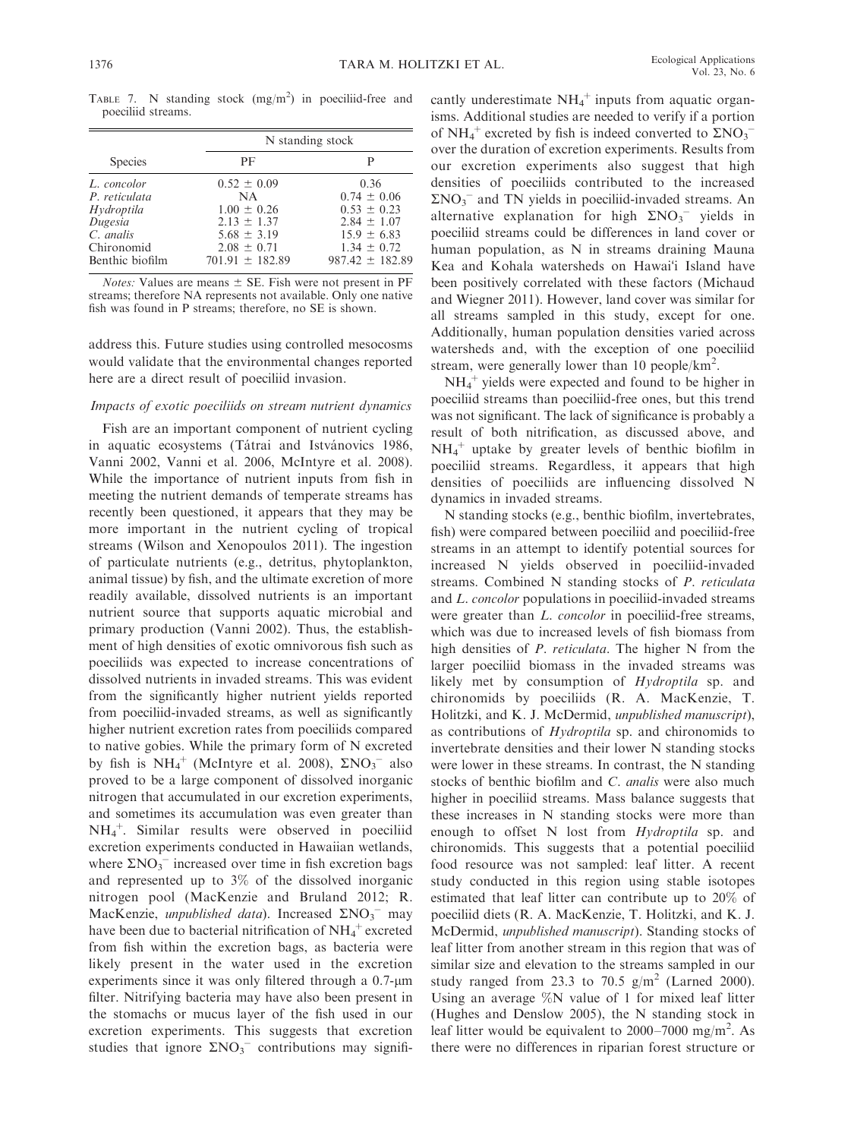Vol. 23, No. 6

TABLE 7. N standing stock  $(mg/m<sup>2</sup>)$  in poeciliid-free and poeciliid streams.

|                 | N standing stock    |                     |  |  |
|-----------------|---------------------|---------------------|--|--|
| <b>Species</b>  | PF                  |                     |  |  |
| L. concolor     | $0.52 \pm 0.09$     | 0.36                |  |  |
| P. reticulata   | <b>NA</b>           | $0.74 \pm 0.06$     |  |  |
| Hydroptila      | $1.00 \pm 0.26$     | $0.53 \pm 0.23$     |  |  |
| Dugesia         | $2.13 \pm 1.37$     | $2.84 \pm 1.07$     |  |  |
| $C.$ analis     | $5.68 \pm 3.19$     | $15.9 \pm 6.83$     |  |  |
| Chironomid      | $2.08 \pm 0.71$     | $1.34 \pm 0.72$     |  |  |
| Benthic biofilm | $701.91 \pm 182.89$ | $987.42 \pm 182.89$ |  |  |

*Notes:* Values are means  $\pm$  SE. Fish were not present in PF streams; therefore NA represents not available. Only one native fish was found in P streams; therefore, no SE is shown.

address this. Future studies using controlled mesocosms would validate that the environmental changes reported here are a direct result of poeciliid invasion.

# Impacts of exotic poeciliids on stream nutrient dynamics

Fish are an important component of nutrient cycling in aquatic ecosystems (Tátrai and Istvánovics 1986, Vanni 2002, Vanni et al. 2006, McIntyre et al. 2008). While the importance of nutrient inputs from fish in meeting the nutrient demands of temperate streams has recently been questioned, it appears that they may be more important in the nutrient cycling of tropical streams (Wilson and Xenopoulos 2011). The ingestion of particulate nutrients (e.g., detritus, phytoplankton, animal tissue) by fish, and the ultimate excretion of more readily available, dissolved nutrients is an important nutrient source that supports aquatic microbial and primary production (Vanni 2002). Thus, the establishment of high densities of exotic omnivorous fish such as poeciliids was expected to increase concentrations of dissolved nutrients in invaded streams. This was evident from the significantly higher nutrient yields reported from poeciliid-invaded streams, as well as significantly higher nutrient excretion rates from poeciliids compared to native gobies. While the primary form of N excreted by fish is  $NH_4^+$  (McIntyre et al. 2008),  $\Sigma NO_3^-$  also proved to be a large component of dissolved inorganic nitrogen that accumulated in our excretion experiments, and sometimes its accumulation was even greater than NH4 <sup>þ</sup>. Similar results were observed in poeciliid excretion experiments conducted in Hawaiian wetlands, where  $\Sigma NO_3^-$  increased over time in fish excretion bags and represented up to 3% of the dissolved inorganic nitrogen pool (MacKenzie and Bruland 2012; R. MacKenzie, *unpublished data*). Increased  $\Sigma NO_3^-$  may have been due to bacterial nitrification of  $NH_4^+$  excreted from fish within the excretion bags, as bacteria were likely present in the water used in the excretion experiments since it was only filtered through a  $0.7$ - $\mu$ m filter. Nitrifying bacteria may have also been present in the stomachs or mucus layer of the fish used in our excretion experiments. This suggests that excretion studies that ignore  $\Sigma NO_3^-$  contributions may signifi-

cantly underestimate  $NH_4^+$  inputs from aquatic organisms. Additional studies are needed to verify if a portion of NH<sub>4</sub><sup>+</sup> excreted by fish is indeed converted to  $\Sigma NO_3^$ over the duration of excretion experiments. Results from our excretion experiments also suggest that high densities of poeciliids contributed to the increased  $\Sigma NO_3^-$  and TN yields in poeciliid-invaded streams. An alternative explanation for high  $\Sigma NO<sub>3</sub>$  yields in poeciliid streams could be differences in land cover or human population, as N in streams draining Mauna Kea and Kohala watersheds on Hawai'i Island have been positively correlated with these factors (Michaud and Wiegner 2011). However, land cover was similar for all streams sampled in this study, except for one. Additionally, human population densities varied across watersheds and, with the exception of one poeciliid stream, were generally lower than 10 people/ $km^2$ .

 $NH_4^+$  yields were expected and found to be higher in poeciliid streams than poeciliid-free ones, but this trend was not significant. The lack of significance is probably a result of both nitrification, as discussed above, and  $NH_4^+$  uptake by greater levels of benthic biofilm in poeciliid streams. Regardless, it appears that high densities of poeciliids are influencing dissolved N dynamics in invaded streams.

N standing stocks (e.g., benthic biofilm, invertebrates, fish) were compared between poeciliid and poeciliid-free streams in an attempt to identify potential sources for increased N yields observed in poeciliid-invaded streams. Combined N standing stocks of P. reticulata and L. concolor populations in poeciliid-invaded streams were greater than *L. concolor* in poeciliid-free streams, which was due to increased levels of fish biomass from high densities of *P. reticulata*. The higher N from the larger poeciliid biomass in the invaded streams was likely met by consumption of Hydroptila sp. and chironomids by poeciliids (R. A. MacKenzie, T. Holitzki, and K. J. McDermid, unpublished manuscript), as contributions of Hydroptila sp. and chironomids to invertebrate densities and their lower N standing stocks were lower in these streams. In contrast, the N standing stocks of benthic biofilm and C. analis were also much higher in poeciliid streams. Mass balance suggests that these increases in N standing stocks were more than enough to offset N lost from Hydroptila sp. and chironomids. This suggests that a potential poeciliid food resource was not sampled: leaf litter. A recent study conducted in this region using stable isotopes estimated that leaf litter can contribute up to 20% of poeciliid diets (R. A. MacKenzie, T. Holitzki, and K. J. McDermid, unpublished manuscript). Standing stocks of leaf litter from another stream in this region that was of similar size and elevation to the streams sampled in our study ranged from 23.3 to 70.5  $g/m^2$  (Larned 2000). Using an average %N value of 1 for mixed leaf litter (Hughes and Denslow 2005), the N standing stock in leaf litter would be equivalent to 2000–7000 mg/m<sup>2</sup>. As there were no differences in riparian forest structure or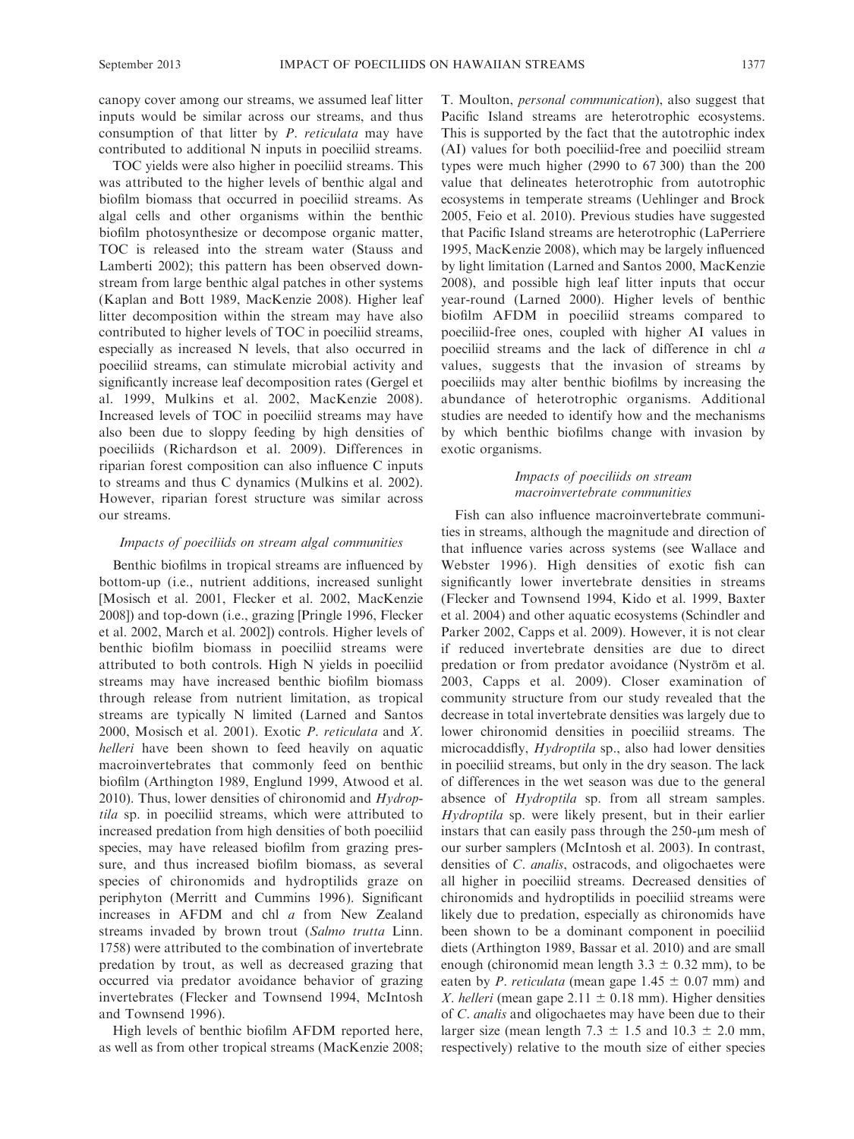canopy cover among our streams, we assumed leaf litter inputs would be similar across our streams, and thus consumption of that litter by P. reticulata may have contributed to additional N inputs in poeciliid streams.

TOC yields were also higher in poeciliid streams. This was attributed to the higher levels of benthic algal and biofilm biomass that occurred in poeciliid streams. As algal cells and other organisms within the benthic biofilm photosynthesize or decompose organic matter, TOC is released into the stream water (Stauss and Lamberti 2002); this pattern has been observed downstream from large benthic algal patches in other systems (Kaplan and Bott 1989, MacKenzie 2008). Higher leaf litter decomposition within the stream may have also contributed to higher levels of TOC in poeciliid streams, especially as increased N levels, that also occurred in poeciliid streams, can stimulate microbial activity and significantly increase leaf decomposition rates (Gergel et al. 1999, Mulkins et al. 2002, MacKenzie 2008). Increased levels of TOC in poeciliid streams may have also been due to sloppy feeding by high densities of poeciliids (Richardson et al. 2009). Differences in riparian forest composition can also influence C inputs to streams and thus C dynamics (Mulkins et al. 2002). However, riparian forest structure was similar across our streams.

# Impacts of poeciliids on stream algal communities

Benthic biofilms in tropical streams are influenced by bottom-up (i.e., nutrient additions, increased sunlight [Mosisch et al. 2001, Flecker et al. 2002, MacKenzie 2008]) and top-down (i.e., grazing [Pringle 1996, Flecker et al. 2002, March et al. 2002]) controls. Higher levels of benthic biofilm biomass in poeciliid streams were attributed to both controls. High N yields in poeciliid streams may have increased benthic biofilm biomass through release from nutrient limitation, as tropical streams are typically N limited (Larned and Santos 2000, Mosisch et al. 2001). Exotic  $P$ . reticulata and  $X$ . helleri have been shown to feed heavily on aquatic macroinvertebrates that commonly feed on benthic biofilm (Arthington 1989, Englund 1999, Atwood et al. 2010). Thus, lower densities of chironomid and  $Hydrop$ tila sp. in poeciliid streams, which were attributed to increased predation from high densities of both poeciliid species, may have released biofilm from grazing pressure, and thus increased biofilm biomass, as several species of chironomids and hydroptilids graze on periphyton (Merritt and Cummins 1996). Significant increases in AFDM and chl a from New Zealand streams invaded by brown trout (Salmo trutta Linn. 1758) were attributed to the combination of invertebrate predation by trout, as well as decreased grazing that occurred via predator avoidance behavior of grazing invertebrates (Flecker and Townsend 1994, McIntosh and Townsend 1996).

High levels of benthic biofilm AFDM reported here, as well as from other tropical streams (MacKenzie 2008; T. Moulton, personal communication), also suggest that Pacific Island streams are heterotrophic ecosystems. This is supported by the fact that the autotrophic index (AI) values for both poeciliid-free and poeciliid stream types were much higher (2990 to 67 300) than the 200 value that delineates heterotrophic from autotrophic ecosystems in temperate streams (Uehlinger and Brock 2005, Feio et al. 2010). Previous studies have suggested that Pacific Island streams are heterotrophic (LaPerriere 1995, MacKenzie 2008), which may be largely influenced by light limitation (Larned and Santos 2000, MacKenzie 2008), and possible high leaf litter inputs that occur year-round (Larned 2000). Higher levels of benthic biofilm AFDM in poeciliid streams compared to poeciliid-free ones, coupled with higher AI values in poeciliid streams and the lack of difference in chl a values, suggests that the invasion of streams by poeciliids may alter benthic biofilms by increasing the abundance of heterotrophic organisms. Additional studies are needed to identify how and the mechanisms by which benthic biofilms change with invasion by exotic organisms.

# Impacts of poeciliids on stream macroinvertebrate communities

Fish can also influence macroinvertebrate communities in streams, although the magnitude and direction of that influence varies across systems (see Wallace and Webster 1996). High densities of exotic fish can significantly lower invertebrate densities in streams (Flecker and Townsend 1994, Kido et al. 1999, Baxter et al. 2004) and other aquatic ecosystems (Schindler and Parker 2002, Capps et al. 2009). However, it is not clear if reduced invertebrate densities are due to direct predation or from predator avoidance (Nyström et al. 2003, Capps et al. 2009). Closer examination of community structure from our study revealed that the decrease in total invertebrate densities was largely due to lower chironomid densities in poeciliid streams. The microcaddisfly, Hydroptila sp., also had lower densities in poeciliid streams, but only in the dry season. The lack of differences in the wet season was due to the general absence of Hydroptila sp. from all stream samples. Hydroptila sp. were likely present, but in their earlier instars that can easily pass through the  $250$ - $\mu$ m mesh of our surber samplers (McIntosh et al. 2003). In contrast, densities of C. analis, ostracods, and oligochaetes were all higher in poeciliid streams. Decreased densities of chironomids and hydroptilids in poeciliid streams were likely due to predation, especially as chironomids have been shown to be a dominant component in poeciliid diets (Arthington 1989, Bassar et al. 2010) and are small enough (chironomid mean length  $3.3 \pm 0.32$  mm), to be eaten by *P. reticulata* (mean gape  $1.45 \pm 0.07$  mm) and X. helleri (mean gape 2.11  $\pm$  0.18 mm). Higher densities of C. analis and oligochaetes may have been due to their larger size (mean length 7.3  $\pm$  1.5 and 10.3  $\pm$  2.0 mm, respectively) relative to the mouth size of either species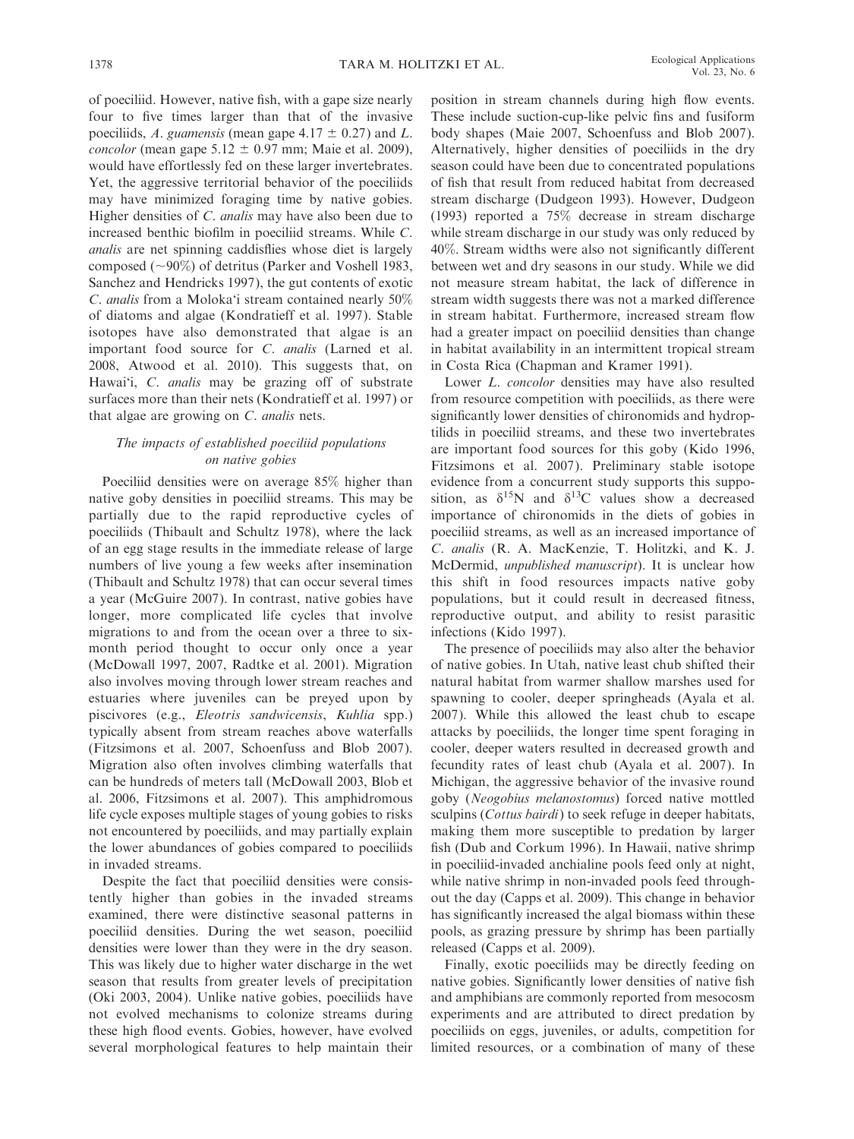of poeciliid. However, native fish, with a gape size nearly four to five times larger than that of the invasive poeciliids, A. guamensis (mean gape  $4.17 \pm 0.27$ ) and L. concolor (mean gape  $5.12 \pm 0.97$  mm; Maie et al. 2009), would have effortlessly fed on these larger invertebrates. Yet, the aggressive territorial behavior of the poeciliids may have minimized foraging time by native gobies. Higher densities of C. *analis* may have also been due to increased benthic biofilm in poeciliid streams. While C. analis are net spinning caddisflies whose diet is largely composed ( $\sim$ 90%) of detritus (Parker and Voshell 1983, Sanchez and Hendricks 1997), the gut contents of exotic C. analis from a Moloka'i stream contained nearly 50% of diatoms and algae (Kondratieff et al. 1997). Stable isotopes have also demonstrated that algae is an important food source for C. analis (Larned et al. 2008, Atwood et al. 2010). This suggests that, on Hawai'i, C. analis may be grazing off of substrate surfaces more than their nets (Kondratieff et al. 1997) or that algae are growing on C. analis nets.

# The impacts of established poeciliid populations on native gobies

Poeciliid densities were on average 85% higher than native goby densities in poeciliid streams. This may be partially due to the rapid reproductive cycles of poeciliids (Thibault and Schultz 1978), where the lack of an egg stage results in the immediate release of large numbers of live young a few weeks after insemination (Thibault and Schultz 1978) that can occur several times a year (McGuire 2007). In contrast, native gobies have longer, more complicated life cycles that involve migrations to and from the ocean over a three to sixmonth period thought to occur only once a year (McDowall 1997, 2007, Radtke et al. 2001). Migration also involves moving through lower stream reaches and estuaries where juveniles can be preyed upon by piscivores (e.g., Eleotris sandwicensis, Kuhlia spp.) typically absent from stream reaches above waterfalls (Fitzsimons et al. 2007, Schoenfuss and Blob 2007). Migration also often involves climbing waterfalls that can be hundreds of meters tall (McDowall 2003, Blob et al. 2006, Fitzsimons et al. 2007). This amphidromous life cycle exposes multiple stages of young gobies to risks not encountered by poeciliids, and may partially explain the lower abundances of gobies compared to poeciliids in invaded streams.

Despite the fact that poeciliid densities were consistently higher than gobies in the invaded streams examined, there were distinctive seasonal patterns in poeciliid densities. During the wet season, poeciliid densities were lower than they were in the dry season. This was likely due to higher water discharge in the wet season that results from greater levels of precipitation (Oki 2003, 2004). Unlike native gobies, poeciliids have not evolved mechanisms to colonize streams during these high flood events. Gobies, however, have evolved several morphological features to help maintain their

position in stream channels during high flow events. These include suction-cup-like pelvic fins and fusiform body shapes (Maie 2007, Schoenfuss and Blob 2007). Alternatively, higher densities of poeciliids in the dry season could have been due to concentrated populations of fish that result from reduced habitat from decreased stream discharge (Dudgeon 1993). However, Dudgeon (1993) reported a 75% decrease in stream discharge while stream discharge in our study was only reduced by 40%. Stream widths were also not significantly different between wet and dry seasons in our study. While we did not measure stream habitat, the lack of difference in stream width suggests there was not a marked difference in stream habitat. Furthermore, increased stream flow had a greater impact on poeciliid densities than change in habitat availability in an intermittent tropical stream in Costa Rica (Chapman and Kramer 1991).

Lower L. concolor densities may have also resulted from resource competition with poeciliids, as there were significantly lower densities of chironomids and hydroptilids in poeciliid streams, and these two invertebrates are important food sources for this goby (Kido 1996, Fitzsimons et al. 2007). Preliminary stable isotope evidence from a concurrent study supports this supposition, as  $\delta^{15}N$  and  $\delta^{13}C$  values show a decreased importance of chironomids in the diets of gobies in poeciliid streams, as well as an increased importance of C. analis (R. A. MacKenzie, T. Holitzki, and K. J. McDermid, unpublished manuscript). It is unclear how this shift in food resources impacts native goby populations, but it could result in decreased fitness, reproductive output, and ability to resist parasitic infections (Kido 1997).

The presence of poeciliids may also alter the behavior of native gobies. In Utah, native least chub shifted their natural habitat from warmer shallow marshes used for spawning to cooler, deeper springheads (Ayala et al. 2007). While this allowed the least chub to escape attacks by poeciliids, the longer time spent foraging in cooler, deeper waters resulted in decreased growth and fecundity rates of least chub (Ayala et al. 2007). In Michigan, the aggressive behavior of the invasive round goby (Neogobius melanostomus) forced native mottled sculpins (Cottus bairdi) to seek refuge in deeper habitats, making them more susceptible to predation by larger fish (Dub and Corkum 1996). In Hawaii, native shrimp in poeciliid-invaded anchialine pools feed only at night, while native shrimp in non-invaded pools feed throughout the day (Capps et al. 2009). This change in behavior has significantly increased the algal biomass within these pools, as grazing pressure by shrimp has been partially released (Capps et al. 2009).

Finally, exotic poeciliids may be directly feeding on native gobies. Significantly lower densities of native fish and amphibians are commonly reported from mesocosm experiments and are attributed to direct predation by poeciliids on eggs, juveniles, or adults, competition for limited resources, or a combination of many of these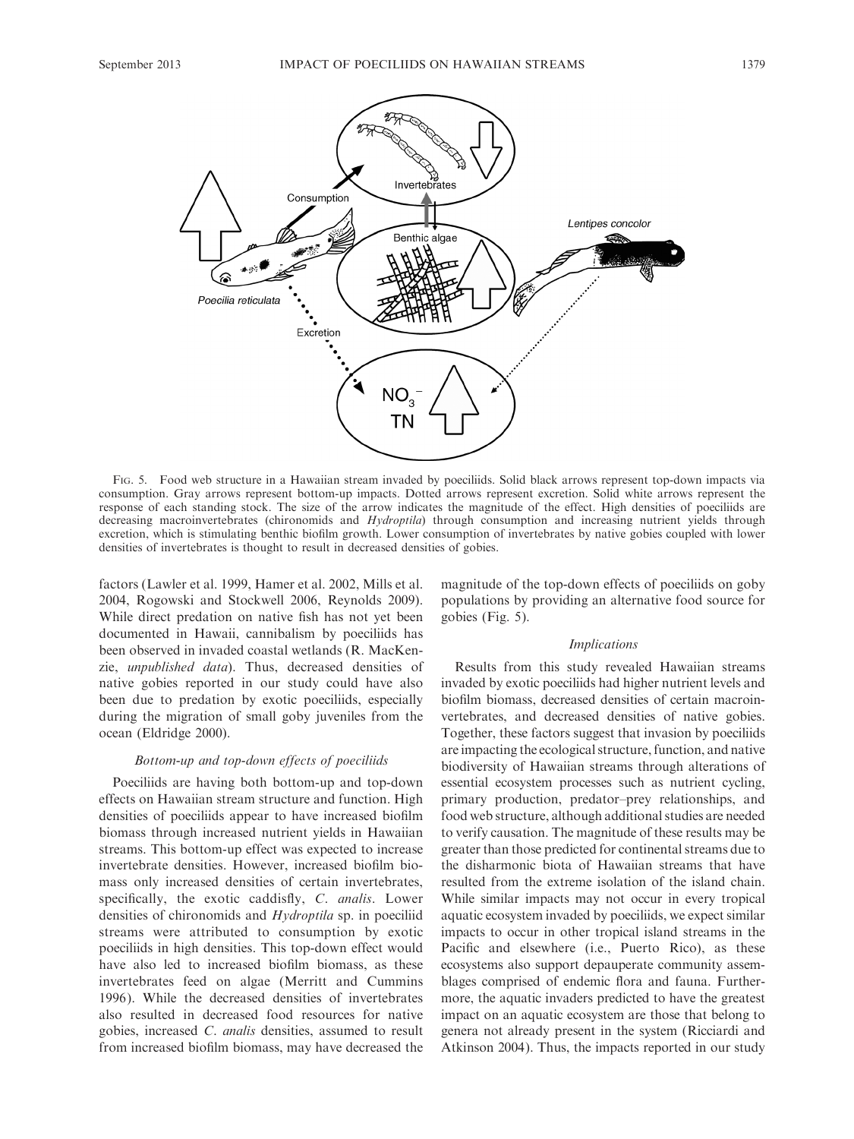

FIG. 5. Food web structure in a Hawaiian stream invaded by poeciliids. Solid black arrows represent top-down impacts via consumption. Gray arrows represent bottom-up impacts. Dotted arrows represent excretion. Solid white arrows represent the response of each standing stock. The size of the arrow indicates the magnitude of the effect. High densities of poeciliids are decreasing macroinvertebrates (chironomids and *Hydroptila*) through consumption and increasing nutrient yields through excretion, which is stimulating benthic biofilm growth. Lower consumption of invertebrates by native gobies coupled with lower densities of invertebrates is thought to result in decreased densities of gobies.

factors (Lawler et al. 1999, Hamer et al. 2002, Mills et al. 2004, Rogowski and Stockwell 2006, Reynolds 2009). While direct predation on native fish has not yet been documented in Hawaii, cannibalism by poeciliids has been observed in invaded coastal wetlands (R. MacKenzie, unpublished data). Thus, decreased densities of native gobies reported in our study could have also been due to predation by exotic poeciliids, especially during the migration of small goby juveniles from the ocean (Eldridge 2000).

# Bottom-up and top-down effects of poeciliids

Poeciliids are having both bottom-up and top-down effects on Hawaiian stream structure and function. High densities of poeciliids appear to have increased biofilm biomass through increased nutrient yields in Hawaiian streams. This bottom-up effect was expected to increase invertebrate densities. However, increased biofilm biomass only increased densities of certain invertebrates, specifically, the exotic caddisfly, C. analis. Lower densities of chironomids and Hydroptila sp. in poeciliid streams were attributed to consumption by exotic poeciliids in high densities. This top-down effect would have also led to increased biofilm biomass, as these invertebrates feed on algae (Merritt and Cummins 1996). While the decreased densities of invertebrates also resulted in decreased food resources for native gobies, increased C. analis densities, assumed to result from increased biofilm biomass, may have decreased the magnitude of the top-down effects of poeciliids on goby populations by providing an alternative food source for gobies (Fig. 5).

#### Implications

Results from this study revealed Hawaiian streams invaded by exotic poeciliids had higher nutrient levels and biofilm biomass, decreased densities of certain macroinvertebrates, and decreased densities of native gobies. Together, these factors suggest that invasion by poeciliids are impacting the ecological structure, function, and native biodiversity of Hawaiian streams through alterations of essential ecosystem processes such as nutrient cycling, primary production, predator–prey relationships, and food web structure, although additional studies are needed to verify causation. The magnitude of these results may be greater than those predicted for continental streams due to the disharmonic biota of Hawaiian streams that have resulted from the extreme isolation of the island chain. While similar impacts may not occur in every tropical aquatic ecosystem invaded by poeciliids, we expect similar impacts to occur in other tropical island streams in the Pacific and elsewhere (i.e., Puerto Rico), as these ecosystems also support depauperate community assemblages comprised of endemic flora and fauna. Furthermore, the aquatic invaders predicted to have the greatest impact on an aquatic ecosystem are those that belong to genera not already present in the system (Ricciardi and Atkinson 2004). Thus, the impacts reported in our study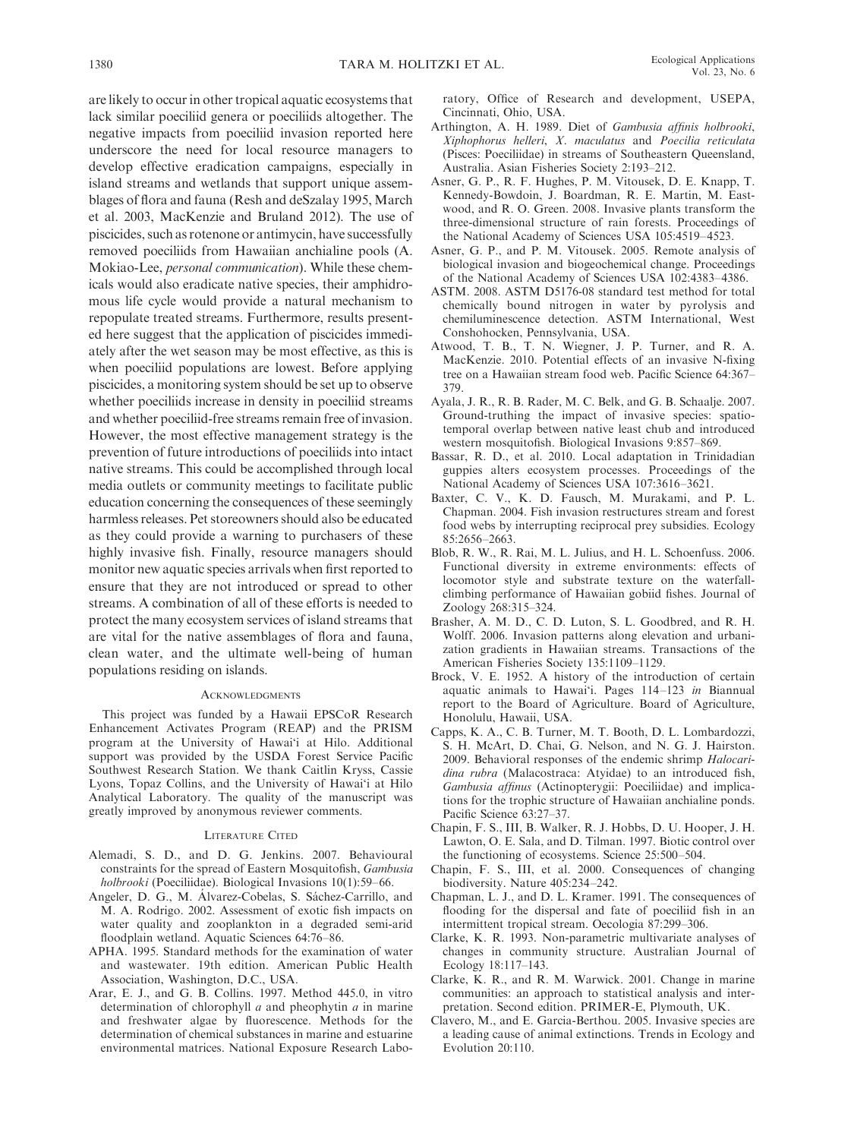are likely to occur in other tropical aquatic ecosystems that lack similar poeciliid genera or poeciliids altogether. The negative impacts from poeciliid invasion reported here underscore the need for local resource managers to develop effective eradication campaigns, especially in island streams and wetlands that support unique assemblages of flora and fauna (Resh and deSzalay 1995, March et al. 2003, MacKenzie and Bruland 2012). The use of piscicides, such as rotenone or antimycin, have successfully removed poeciliids from Hawaiian anchialine pools (A. Mokiao-Lee, personal communication). While these chemicals would also eradicate native species, their amphidromous life cycle would provide a natural mechanism to repopulate treated streams. Furthermore, results presented here suggest that the application of piscicides immediately after the wet season may be most effective, as this is when poeciliid populations are lowest. Before applying piscicides, a monitoring system should be set up to observe whether poeciliids increase in density in poeciliid streams and whether poeciliid-free streams remain free of invasion. However, the most effective management strategy is the prevention of future introductions of poeciliids into intact native streams. This could be accomplished through local media outlets or community meetings to facilitate public education concerning the consequences of these seemingly harmless releases. Pet storeowners should also be educated as they could provide a warning to purchasers of these highly invasive fish. Finally, resource managers should monitor new aquatic species arrivals when first reported to ensure that they are not introduced or spread to other streams. A combination of all of these efforts is needed to protect the many ecosystem services of island streams that are vital for the native assemblages of flora and fauna, clean water, and the ultimate well-being of human populations residing on islands.

# **ACKNOWLEDGMENTS**

This project was funded by a Hawaii EPSCoR Research Enhancement Activates Program (REAP) and the PRISM program at the University of Hawai'i at Hilo. Additional support was provided by the USDA Forest Service Pacific Southwest Research Station. We thank Caitlin Kryss, Cassie Lyons, Topaz Collins, and the University of Hawai'i at Hilo Analytical Laboratory. The quality of the manuscript was greatly improved by anonymous reviewer comments.

#### LITERATURE CITED

- Alemadi, S. D., and D. G. Jenkins. 2007. Behavioural constraints for the spread of Eastern Mosquitofish, Gambusia holbrooki (Poeciliidae). Biological Invasions 10(1):59–66.
- Angeler, D. G., M. Alvarez-Cobelas, S. Sáchez-Carrillo, and M. A. Rodrigo. 2002. Assessment of exotic fish impacts on water quality and zooplankton in a degraded semi-arid floodplain wetland. Aquatic Sciences 64:76–86.
- APHA. 1995. Standard methods for the examination of water and wastewater. 19th edition. American Public Health Association, Washington, D.C., USA.
- Arar, E. J., and G. B. Collins. 1997. Method 445.0, in vitro determination of chlorophyll a and pheophytin a in marine and freshwater algae by fluorescence. Methods for the determination of chemical substances in marine and estuarine environmental matrices. National Exposure Research Labo-

ratory, Office of Research and development, USEPA, Cincinnati, Ohio, USA.

- Arthington, A. H. 1989. Diet of Gambusia affinis holbrooki, Xiphophorus helleri, X. maculatus and Poecilia reticulata (Pisces: Poeciliidae) in streams of Southeastern Queensland, Australia. Asian Fisheries Society 2:193–212.
- Asner, G. P., R. F. Hughes, P. M. Vitousek, D. E. Knapp, T. Kennedy-Bowdoin, J. Boardman, R. E. Martin, M. Eastwood, and R. O. Green. 2008. Invasive plants transform the three-dimensional structure of rain forests. Proceedings of the National Academy of Sciences USA 105:4519–4523.
- Asner, G. P., and P. M. Vitousek. 2005. Remote analysis of biological invasion and biogeochemical change. Proceedings of the National Academy of Sciences USA 102:4383–4386.
- ASTM. 2008. ASTM D5176-08 standard test method for total chemically bound nitrogen in water by pyrolysis and chemiluminescence detection. ASTM International, West Conshohocken, Pennsylvania, USA.
- Atwood, T. B., T. N. Wiegner, J. P. Turner, and R. A. MacKenzie. 2010. Potential effects of an invasive N-fixing tree on a Hawaiian stream food web. Pacific Science 64:367– 379.
- Ayala, J. R., R. B. Rader, M. C. Belk, and G. B. Schaalje. 2007. Ground-truthing the impact of invasive species: spatiotemporal overlap between native least chub and introduced western mosquitofish. Biological Invasions 9:857–869.
- Bassar, R. D., et al. 2010. Local adaptation in Trinidadian guppies alters ecosystem processes. Proceedings of the National Academy of Sciences USA 107:3616–3621.
- Baxter, C. V., K. D. Fausch, M. Murakami, and P. L. Chapman. 2004. Fish invasion restructures stream and forest food webs by interrupting reciprocal prey subsidies. Ecology 85:2656–2663.
- Blob, R. W., R. Rai, M. L. Julius, and H. L. Schoenfuss. 2006. Functional diversity in extreme environments: effects of locomotor style and substrate texture on the waterfallclimbing performance of Hawaiian gobiid fishes. Journal of Zoology 268:315–324.
- Brasher, A. M. D., C. D. Luton, S. L. Goodbred, and R. H. Wolff. 2006. Invasion patterns along elevation and urbanization gradients in Hawaiian streams. Transactions of the American Fisheries Society 135:1109–1129.
- Brock, V. E. 1952. A history of the introduction of certain aquatic animals to Hawai'i. Pages 114–123 in Biannual report to the Board of Agriculture. Board of Agriculture, Honolulu, Hawaii, USA.
- Capps, K. A., C. B. Turner, M. T. Booth, D. L. Lombardozzi, S. H. McArt, D. Chai, G. Nelson, and N. G. J. Hairston. 2009. Behavioral responses of the endemic shrimp Halocaridina rubra (Malacostraca: Atyidae) to an introduced fish, Gambusia affinus (Actinopterygii: Poeciliidae) and implications for the trophic structure of Hawaiian anchialine ponds. Pacific Science 63:27–37.
- Chapin, F. S., III, B. Walker, R. J. Hobbs, D. U. Hooper, J. H. Lawton, O. E. Sala, and D. Tilman. 1997. Biotic control over the functioning of ecosystems. Science 25:500–504.
- Chapin, F. S., III, et al. 2000. Consequences of changing biodiversity. Nature 405:234–242.
- Chapman, L. J., and D. L. Kramer. 1991. The consequences of flooding for the dispersal and fate of poeciliid fish in an intermittent tropical stream. Oecologia 87:299–306.
- Clarke, K. R. 1993. Non-parametric multivariate analyses of changes in community structure. Australian Journal of Ecology 18:117–143.
- Clarke, K. R., and R. M. Warwick. 2001. Change in marine communities: an approach to statistical analysis and interpretation. Second edition. PRIMER-E, Plymouth, UK.
- Clavero, M., and E. Garcia-Berthou. 2005. Invasive species are a leading cause of animal extinctions. Trends in Ecology and Evolution 20:110.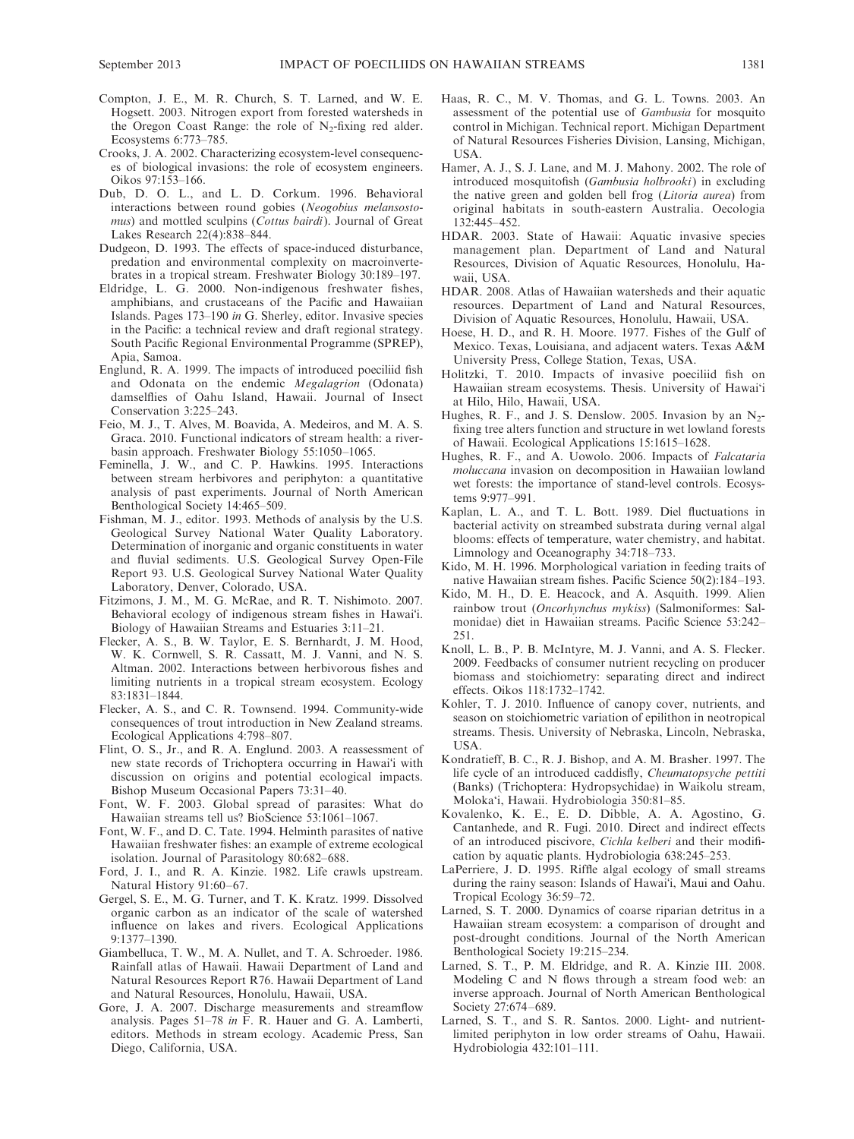- Compton, J. E., M. R. Church, S. T. Larned, and W. E. Hogsett. 2003. Nitrogen export from forested watersheds in the Oregon Coast Range: the role of  $N_2$ -fixing red alder. Ecosystems 6:773–785.
- Crooks, J. A. 2002. Characterizing ecosystem-level consequences of biological invasions: the role of ecosystem engineers. Oikos 97:153–166.
- Dub, D. O. L., and L. D. Corkum. 1996. Behavioral interactions between round gobies (Neogobius melansostomus) and mottled sculpins (Cottus bairdi). Journal of Great Lakes Research 22(4):838–844.
- Dudgeon, D. 1993. The effects of space-induced disturbance, predation and environmental complexity on macroinvertebrates in a tropical stream. Freshwater Biology 30:189–197.
- Eldridge, L. G. 2000. Non-indigenous freshwater fishes, amphibians, and crustaceans of the Pacific and Hawaiian Islands. Pages 173–190 in G. Sherley, editor. Invasive species in the Pacific: a technical review and draft regional strategy. South Pacific Regional Environmental Programme (SPREP), Apia, Samoa.
- Englund, R. A. 1999. The impacts of introduced poeciliid fish and Odonata on the endemic Megalagrion (Odonata) damselflies of Oahu Island, Hawaii. Journal of Insect Conservation 3:225–243.
- Feio, M. J., T. Alves, M. Boavida, A. Medeiros, and M. A. S. Graca. 2010. Functional indicators of stream health: a riverbasin approach. Freshwater Biology 55:1050–1065.
- Feminella, J. W., and C. P. Hawkins. 1995. Interactions between stream herbivores and periphyton: a quantitative analysis of past experiments. Journal of North American Benthological Society 14:465–509.
- Fishman, M. J., editor. 1993. Methods of analysis by the U.S. Geological Survey National Water Quality Laboratory. Determination of inorganic and organic constituents in water and fluvial sediments. U.S. Geological Survey Open-File Report 93. U.S. Geological Survey National Water Quality Laboratory, Denver, Colorado, USA.
- Fitzimons, J. M., M. G. McRae, and R. T. Nishimoto. 2007. Behavioral ecology of indigenous stream fishes in Hawai'i. Biology of Hawaiian Streams and Estuaries 3:11–21.
- Flecker, A. S., B. W. Taylor, E. S. Bernhardt, J. M. Hood, W. K. Cornwell, S. R. Cassatt, M. J. Vanni, and N. S. Altman. 2002. Interactions between herbivorous fishes and limiting nutrients in a tropical stream ecosystem. Ecology 83:1831–1844.
- Flecker, A. S., and C. R. Townsend. 1994. Community-wide consequences of trout introduction in New Zealand streams. Ecological Applications 4:798–807.
- Flint, O. S., Jr., and R. A. Englund. 2003. A reassessment of new state records of Trichoptera occurring in Hawai'i with discussion on origins and potential ecological impacts. Bishop Museum Occasional Papers 73:31–40.
- Font, W. F. 2003. Global spread of parasites: What do Hawaiian streams tell us? BioScience 53:1061–1067.
- Font, W. F., and D. C. Tate. 1994. Helminth parasites of native Hawaiian freshwater fishes: an example of extreme ecological isolation. Journal of Parasitology 80:682–688.
- Ford, J. I., and R. A. Kinzie. 1982. Life crawls upstream. Natural History 91:60–67.
- Gergel, S. E., M. G. Turner, and T. K. Kratz. 1999. Dissolved organic carbon as an indicator of the scale of watershed influence on lakes and rivers. Ecological Applications 9:1377–1390.
- Giambelluca, T. W., M. A. Nullet, and T. A. Schroeder. 1986. Rainfall atlas of Hawaii. Hawaii Department of Land and Natural Resources Report R76. Hawaii Department of Land and Natural Resources, Honolulu, Hawaii, USA.
- Gore, J. A. 2007. Discharge measurements and streamflow analysis. Pages 51–78 in F. R. Hauer and G. A. Lamberti, editors. Methods in stream ecology. Academic Press, San Diego, California, USA.
- Haas, R. C., M. V. Thomas, and G. L. Towns. 2003. An assessment of the potential use of Gambusia for mosquito control in Michigan. Technical report. Michigan Department of Natural Resources Fisheries Division, Lansing, Michigan, USA.
- Hamer, A. J., S. J. Lane, and M. J. Mahony. 2002. The role of introduced mosquitofish (Gambusia holbrooki) in excluding the native green and golden bell frog (Litoria aurea) from original habitats in south-eastern Australia. Oecologia 132:445–452.
- HDAR. 2003. State of Hawaii: Aquatic invasive species management plan. Department of Land and Natural Resources, Division of Aquatic Resources, Honolulu, Hawaii, USA.
- HDAR. 2008. Atlas of Hawaiian watersheds and their aquatic resources. Department of Land and Natural Resources, Division of Aquatic Resources, Honolulu, Hawaii, USA.
- Hoese, H. D., and R. H. Moore. 1977. Fishes of the Gulf of Mexico. Texas, Louisiana, and adjacent waters. Texas A&M University Press, College Station, Texas, USA.
- Holitzki, T. 2010. Impacts of invasive poeciliid fish on Hawaiian stream ecosystems. Thesis. University of Hawai'i at Hilo, Hilo, Hawaii, USA.
- Hughes, R. F., and J. S. Denslow. 2005. Invasion by an  $N_2$ fixing tree alters function and structure in wet lowland forests of Hawaii. Ecological Applications 15:1615–1628.
- Hughes, R. F., and A. Uowolo. 2006. Impacts of Falcataria moluccana invasion on decomposition in Hawaiian lowland wet forests: the importance of stand-level controls. Ecosystems 9:977–991.
- Kaplan, L. A., and T. L. Bott. 1989. Diel fluctuations in bacterial activity on streambed substrata during vernal algal blooms: effects of temperature, water chemistry, and habitat. Limnology and Oceanography 34:718–733.
- Kido, M. H. 1996. Morphological variation in feeding traits of native Hawaiian stream fishes. Pacific Science 50(2):184–193.
- Kido, M. H., D. E. Heacock, and A. Asquith. 1999. Alien rainbow trout (Oncorhynchus mykiss) (Salmoniformes: Salmonidae) diet in Hawaiian streams. Pacific Science 53:242– 251.
- Knoll, L. B., P. B. McIntyre, M. J. Vanni, and A. S. Flecker. 2009. Feedbacks of consumer nutrient recycling on producer biomass and stoichiometry: separating direct and indirect effects. Oikos 118:1732–1742.
- Kohler, T. J. 2010. Influence of canopy cover, nutrients, and season on stoichiometric variation of epilithon in neotropical streams. Thesis. University of Nebraska, Lincoln, Nebraska, USA.
- Kondratieff, B. C., R. J. Bishop, and A. M. Brasher. 1997. The life cycle of an introduced caddisfly, Cheumatopsyche pettiti (Banks) (Trichoptera: Hydropsychidae) in Waikolu stream, Moloka'i, Hawaii. Hydrobiologia 350:81–85.
- Kovalenko, K. E., E. D. Dibble, A. A. Agostino, G. Cantanhede, and R. Fugi. 2010. Direct and indirect effects of an introduced piscivore, Cichla kelberi and their modification by aquatic plants. Hydrobiologia 638:245–253.
- LaPerriere, J. D. 1995. Riffle algal ecology of small streams during the rainy season: Islands of Hawai'i, Maui and Oahu. Tropical Ecology 36:59–72.
- Larned, S. T. 2000. Dynamics of coarse riparian detritus in a Hawaiian stream ecosystem: a comparison of drought and post-drought conditions. Journal of the North American Benthological Society 19:215–234.
- Larned, S. T., P. M. Eldridge, and R. A. Kinzie III. 2008. Modeling C and N flows through a stream food web: an inverse approach. Journal of North American Benthological Society 27:674–689.
- Larned, S. T., and S. R. Santos. 2000. Light- and nutrientlimited periphyton in low order streams of Oahu, Hawaii. Hydrobiologia 432:101–111.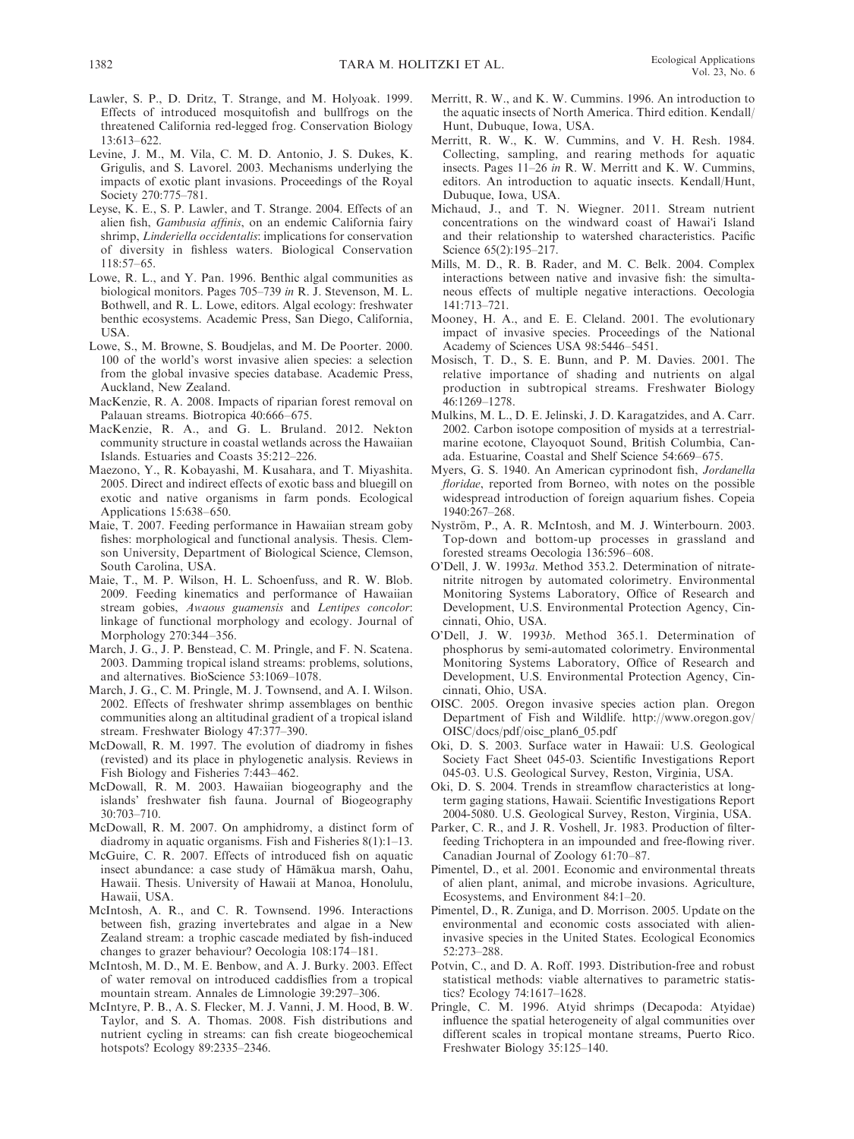- Lawler, S. P., D. Dritz, T. Strange, and M. Holyoak. 1999. Effects of introduced mosquitofish and bullfrogs on the threatened California red-legged frog. Conservation Biology 13:613–622.
- Levine, J. M., M. Vila, C. M. D. Antonio, J. S. Dukes, K. Grigulis, and S. Lavorel. 2003. Mechanisms underlying the impacts of exotic plant invasions. Proceedings of the Royal Society 270:775-781.
- Leyse, K. E., S. P. Lawler, and T. Strange. 2004. Effects of an alien fish, Gambusia affinis, on an endemic California fairy shrimp, Linderiella occidentalis: implications for conservation of diversity in fishless waters. Biological Conservation 118:57–65.
- Lowe, R. L., and Y. Pan. 1996. Benthic algal communities as biological monitors. Pages 705–739 in R. J. Stevenson, M. L. Bothwell, and R. L. Lowe, editors. Algal ecology: freshwater benthic ecosystems. Academic Press, San Diego, California, USA.
- Lowe, S., M. Browne, S. Boudjelas, and M. De Poorter. 2000. 100 of the world's worst invasive alien species: a selection from the global invasive species database. Academic Press, Auckland, New Zealand.
- MacKenzie, R. A. 2008. Impacts of riparian forest removal on Palauan streams. Biotropica 40:666-675.
- MacKenzie, R. A., and G. L. Bruland. 2012. Nekton community structure in coastal wetlands across the Hawaiian Islands. Estuaries and Coasts 35:212–226.
- Maezono, Y., R. Kobayashi, M. Kusahara, and T. Miyashita. 2005. Direct and indirect effects of exotic bass and bluegill on exotic and native organisms in farm ponds. Ecological Applications 15:638–650.
- Maie, T. 2007. Feeding performance in Hawaiian stream goby fishes: morphological and functional analysis. Thesis. Clemson University, Department of Biological Science, Clemson, South Carolina, USA.
- Maie, T., M. P. Wilson, H. L. Schoenfuss, and R. W. Blob. 2009. Feeding kinematics and performance of Hawaiian stream gobies, Awaous guamensis and Lentipes concolor: linkage of functional morphology and ecology. Journal of Morphology 270:344–356.
- March, J. G., J. P. Benstead, C. M. Pringle, and F. N. Scatena. 2003. Damming tropical island streams: problems, solutions, and alternatives. BioScience 53:1069–1078.
- March, J. G., C. M. Pringle, M. J. Townsend, and A. I. Wilson. 2002. Effects of freshwater shrimp assemblages on benthic communities along an altitudinal gradient of a tropical island stream. Freshwater Biology 47:377–390.
- McDowall, R. M. 1997. The evolution of diadromy in fishes (revisted) and its place in phylogenetic analysis. Reviews in Fish Biology and Fisheries 7:443–462.
- McDowall, R. M. 2003. Hawaiian biogeography and the islands' freshwater fish fauna. Journal of Biogeography 30:703–710.
- McDowall, R. M. 2007. On amphidromy, a distinct form of diadromy in aquatic organisms. Fish and Fisheries 8(1):1–13.
- McGuire, C. R. 2007. Effects of introduced fish on aquatic insect abundance: a case study of Hāmākua marsh, Oahu, Hawaii. Thesis. University of Hawaii at Manoa, Honolulu, Hawaii, USA.
- McIntosh, A. R., and C. R. Townsend. 1996. Interactions between fish, grazing invertebrates and algae in a New Zealand stream: a trophic cascade mediated by fish-induced changes to grazer behaviour? Oecologia 108:174–181.
- McIntosh, M. D., M. E. Benbow, and A. J. Burky. 2003. Effect of water removal on introduced caddisflies from a tropical mountain stream. Annales de Limnologie 39:297–306.
- McIntyre, P. B., A. S. Flecker, M. J. Vanni, J. M. Hood, B. W. Taylor, and S. A. Thomas. 2008. Fish distributions and nutrient cycling in streams: can fish create biogeochemical hotspots? Ecology 89:2335–2346.
- Merritt, R. W., and K. W. Cummins. 1996. An introduction to the aquatic insects of North America. Third edition. Kendall/ Hunt, Dubuque, Iowa, USA.
- Merritt, R. W., K. W. Cummins, and V. H. Resh. 1984. Collecting, sampling, and rearing methods for aquatic insects. Pages 11–26 in R. W. Merritt and K. W. Cummins, editors. An introduction to aquatic insects. Kendall/Hunt, Dubuque, Iowa, USA.
- Michaud, J., and T. N. Wiegner. 2011. Stream nutrient concentrations on the windward coast of Hawai'i Island and their relationship to watershed characteristics. Pacific Science 65(2):195–217.
- Mills, M. D., R. B. Rader, and M. C. Belk. 2004. Complex interactions between native and invasive fish: the simultaneous effects of multiple negative interactions. Oecologia 141:713–721.
- Mooney, H. A., and E. E. Cleland. 2001. The evolutionary impact of invasive species. Proceedings of the National Academy of Sciences USA 98:5446–5451.
- Mosisch, T. D., S. E. Bunn, and P. M. Davies. 2001. The relative importance of shading and nutrients on algal production in subtropical streams. Freshwater Biology 46:1269–1278.
- Mulkins, M. L., D. E. Jelinski, J. D. Karagatzides, and A. Carr. 2002. Carbon isotope composition of mysids at a terrestrialmarine ecotone, Clayoquot Sound, British Columbia, Canada. Estuarine, Coastal and Shelf Science 54:669–675.
- Myers, G. S. 1940. An American cyprinodont fish, Jordanella floridae, reported from Borneo, with notes on the possible widespread introduction of foreign aquarium fishes. Copeia 1940:267–268.
- Nyström, P., A. R. McIntosh, and M. J. Winterbourn. 2003. Top-down and bottom-up processes in grassland and forested streams Oecologia 136:596–608.
- O'Dell, J. W. 1993a. Method 353.2. Determination of nitratenitrite nitrogen by automated colorimetry. Environmental Monitoring Systems Laboratory, Office of Research and Development, U.S. Environmental Protection Agency, Cincinnati, Ohio, USA.
- O'Dell, J. W. 1993b. Method 365.1. Determination of phosphorus by semi-automated colorimetry. Environmental Monitoring Systems Laboratory, Office of Research and Development, U.S. Environmental Protection Agency, Cincinnati, Ohio, USA.
- OISC. 2005. Oregon invasive species action plan. Oregon Department of Fish and Wildlife. http://www.oregon.gov/ OISC/docs/pdf/oisc\_plan6\_05.pdf
- Oki, D. S. 2003. Surface water in Hawaii: U.S. Geological Society Fact Sheet 045-03. Scientific Investigations Report 045-03. U.S. Geological Survey, Reston, Virginia, USA.
- Oki, D. S. 2004. Trends in streamflow characteristics at longterm gaging stations, Hawaii. Scientific Investigations Report 2004-5080. U.S. Geological Survey, Reston, Virginia, USA.
- Parker, C. R., and J. R. Voshell, Jr. 1983. Production of filterfeeding Trichoptera in an impounded and free-flowing river. Canadian Journal of Zoology 61:70–87.
- Pimentel, D., et al. 2001. Economic and environmental threats of alien plant, animal, and microbe invasions. Agriculture, Ecosystems, and Environment 84:1–20.
- Pimentel, D., R. Zuniga, and D. Morrison. 2005. Update on the environmental and economic costs associated with alieninvasive species in the United States. Ecological Economics 52:273–288.
- Potvin, C., and D. A. Roff. 1993. Distribution-free and robust statistical methods: viable alternatives to parametric statistics? Ecology 74:1617–1628.
- Pringle, C. M. 1996. Atyid shrimps (Decapoda: Atyidae) influence the spatial heterogeneity of algal communities over different scales in tropical montane streams, Puerto Rico. Freshwater Biology 35:125–140.